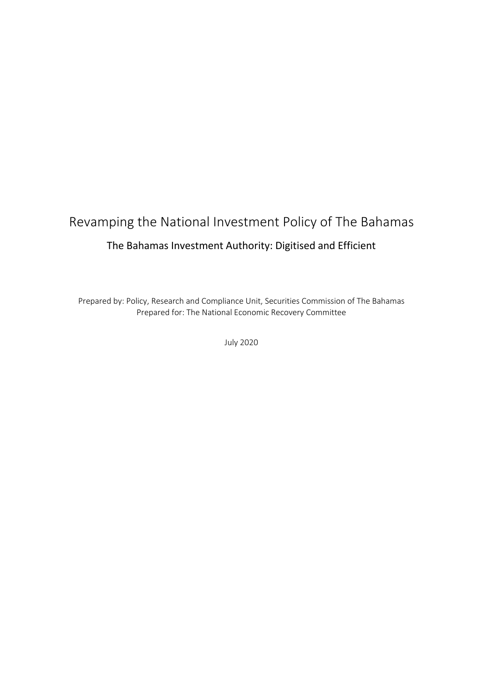# Revamping the National Investment Policy of The Bahamas The Bahamas Investment Authority: Digitised and Efficient

Prepared by: Policy, Research and Compliance Unit, Securities Commission of The Bahamas Prepared for: The National Economic Recovery Committee

July 2020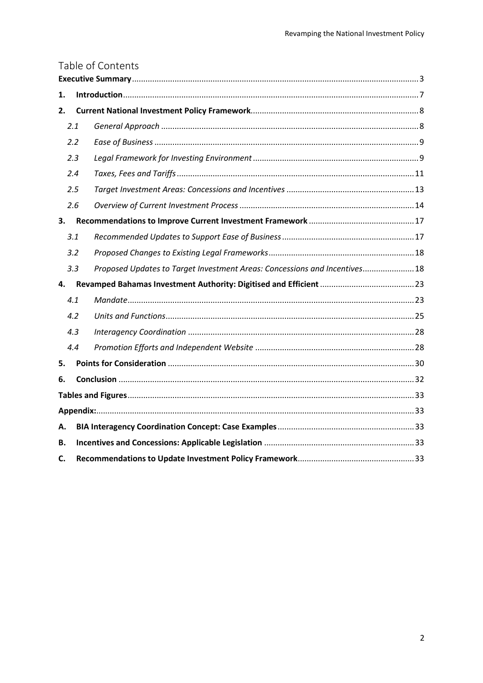|    |     | Table of Contents                                                          |  |
|----|-----|----------------------------------------------------------------------------|--|
|    |     |                                                                            |  |
| 1. |     |                                                                            |  |
| 2. |     |                                                                            |  |
|    | 2.1 |                                                                            |  |
|    | 2.2 |                                                                            |  |
|    | 2.3 |                                                                            |  |
|    | 2.4 |                                                                            |  |
|    | 2.5 |                                                                            |  |
|    | 2.6 |                                                                            |  |
| 3. |     |                                                                            |  |
|    | 3.1 |                                                                            |  |
|    | 3.2 |                                                                            |  |
|    | 3.3 | Proposed Updates to Target Investment Areas: Concessions and Incentives 18 |  |
| 4. |     |                                                                            |  |
|    | 4.1 |                                                                            |  |
|    | 4.2 |                                                                            |  |
|    | 4.3 |                                                                            |  |
|    | 4.4 |                                                                            |  |
| 5. |     |                                                                            |  |
| 6. |     |                                                                            |  |
|    |     |                                                                            |  |
|    |     |                                                                            |  |
| А. |     |                                                                            |  |
| В. |     |                                                                            |  |
| C. |     |                                                                            |  |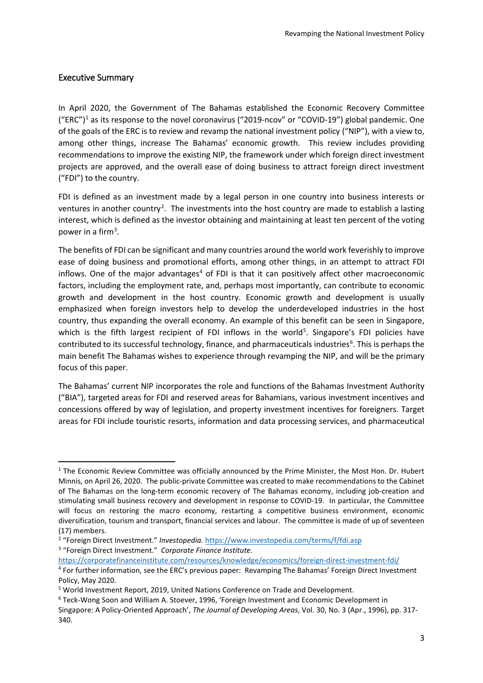## <span id="page-2-0"></span>Executive Summary

In April 2020, the Government of The Bahamas established the Economic Recovery Committee ("ERC")<sup>[1](#page-2-1)</sup> as its response to the novel coronavirus ("2019-ncov" or "COVID-19") global pandemic. One of the goals of the ERC is to review and revamp the national investment policy ("NIP"), with a view to, among other things, increase The Bahamas' economic growth. This review includes providing recommendations to improve the existing NIP, the framework under which foreign direct investment projects are approved, and the overall ease of doing business to attract foreign direct investment ("FDI") to the country.

FDI is defined as an investment made by a legal person in one country into business interests or ventures in another country<sup>[2](#page-2-2)</sup>. The investments into the host country are made to establish a lasting interest, which is defined as the investor obtaining and maintaining at least ten percent of the voting power in a firm<sup>[3](#page-2-3)</sup>.

The benefits of FDI can be significant and many countries around the world work feverishly to improve ease of doing business and promotional efforts, among other things, in an attempt to attract FDI inflows. One of the major advantages<sup>[4](#page-2-4)</sup> of FDI is that it can positively affect other macroeconomic factors, including the employment rate, and, perhaps most importantly, can contribute to economic growth and development in the host country. Economic growth and development is usually emphasized when foreign investors help to develop the underdeveloped industries in the host country, thus expanding the overall economy. An example of this benefit can be seen in Singapore, which is the fifth largest recipient of FDI inflows in the world<sup>[5](#page-2-5)</sup>. Singapore's FDI policies have contributed to its successful technology, finance, and pharmaceuticals industries<sup>[6](#page-2-6)</sup>. This is perhaps the main benefit The Bahamas wishes to experience through revamping the NIP, and will be the primary focus of this paper.

The Bahamas' current NIP incorporates the role and functions of the Bahamas Investment Authority ("BIA"), targeted areas for FDI and reserved areas for Bahamians, various investment incentives and concessions offered by way of legislation, and property investment incentives for foreigners. Target areas for FDI include touristic resorts, information and data processing services, and pharmaceutical

<span id="page-2-3"></span><sup>3</sup> "Foreign Direct Investment." *Corporate Finance Institute.* 

<span id="page-2-4"></span><https://corporatefinanceinstitute.com/resources/knowledge/economics/foreign-direct-investment-fdi/> <sup>4</sup> For further information, see the ERC's previous paper: Revamping The Bahamas' Foreign Direct Investment Policy, May 2020.

<span id="page-2-1"></span> $1$  The Economic Review Committee was officially announced by the Prime Minister, the Most Hon. Dr. Hubert Minnis, on April 26, 2020. The public-private Committee was created to make recommendations to the Cabinet of The Bahamas on the long-term economic recovery of The Bahamas economy, including job-creation and stimulating small business recovery and development in response to COVID-19. In particular, the Committee will focus on restoring the macro economy, restarting a competitive business environment, economic diversification, tourism and transport, financial services and labour. The committee is made of up of seventeen (17) members.

<span id="page-2-2"></span><sup>2</sup> "Foreign Direct Investment." *Investopedia.* <https://www.investopedia.com/terms/f/fdi.asp>

<span id="page-2-5"></span><sup>5</sup> World Investment Report, 2019, United Nations Conference on Trade and Development.

<span id="page-2-6"></span><sup>6</sup> Teck-Wong Soon and William A. Stoever, 1996, 'Foreign Investment and Economic Development in

Singapore: A Policy-Oriented Approach', *The Journal of Developing Areas*, Vol. 30, No. 3 (Apr., 1996), pp. 317- 340.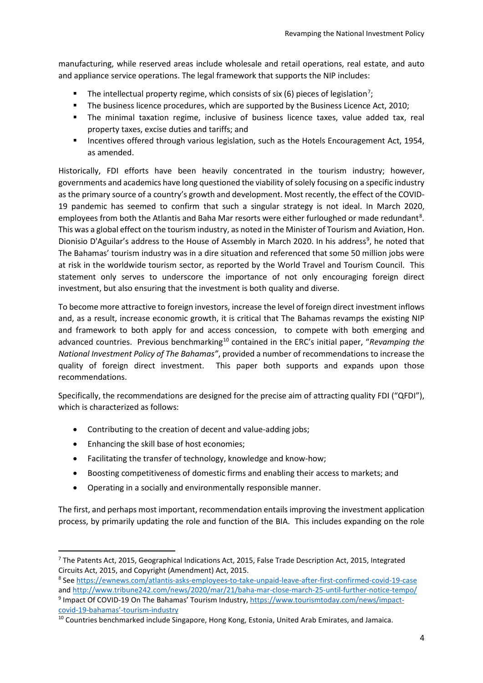manufacturing, while reserved areas include wholesale and retail operations, real estate, and auto and appliance service operations. The legal framework that supports the NIP includes:

- The intellectual property regime, which consists of six (6) pieces of legislation<sup>[7](#page-3-0)</sup>;
- The business licence procedures, which are supported by the Business Licence Act, 2010;
- The minimal taxation regime, inclusive of business licence taxes, value added tax, real property taxes, excise duties and tariffs; and
- **Incentives offered through various legislation, such as the Hotels Encouragement Act, 1954,** as amended.

Historically, FDI efforts have been heavily concentrated in the tourism industry; however, governments and academics have long questioned the viability of solely focusing on a specific industry as the primary source of a country's growth and development. Most recently, the effect of the COVID-19 pandemic has seemed to confirm that such a singular strategy is not ideal. In March 2020, employees from both the Atlantis and Baha Mar resorts were either furloughed or made redundant<sup>[8](#page-3-1)</sup>. This was a global effect on the tourism industry, as noted in the Minister of Tourism and Aviation, Hon. Dionisio D'Aguilar's address to the House of Assembly in March 2020. In his address<sup>[9](#page-3-2)</sup>, he noted that The Bahamas' tourism industry was in a dire situation and referenced that some 50 million jobs were at risk in the worldwide tourism sector, as reported by the World Travel and Tourism Council. This statement only serves to underscore the importance of not only encouraging foreign direct investment, but also ensuring that the investment is both quality and diverse.

To become more attractive to foreign investors, increase the level of foreign direct investment inflows and, as a result, increase economic growth, it is critical that The Bahamas revamps the existing NIP and framework to both apply for and access concession, to compete with both emerging and advanced countries. Previous benchmarking<sup>[10](#page-3-3)</sup> contained in the ERC's initial paper, "Revamping the *National Investment Policy of The Bahamas"*, provided a number of recommendations to increase the quality of foreign direct investment. This paper both supports and expands upon those recommendations.

Specifically, the recommendations are designed for the precise aim of attracting quality FDI ("QFDI"), which is characterized as follows:

- Contributing to the creation of decent and value-adding jobs;
- Enhancing the skill base of host economies;
- Facilitating the transfer of technology, knowledge and know-how;
- Boosting competitiveness of domestic firms and enabling their access to markets; and
- Operating in a socially and environmentally responsible manner.

The first, and perhaps most important, recommendation entails improving the investment application process, by primarily updating the role and function of the BIA. This includes expanding on the role

<span id="page-3-0"></span> <sup>7</sup> The Patents Act, 2015, Geographical Indications Act, 2015, False Trade Description Act, 2015, Integrated Circuits Act, 2015, and Copyright (Amendment) Act, 2015.

<span id="page-3-2"></span><span id="page-3-1"></span><sup>8</sup> See<https://ewnews.com/atlantis-asks-employees-to-take-unpaid-leave-after-first-confirmed-covid-19-case> an[d http://www.tribune242.com/news/2020/mar/21/baha-mar-close-march-25-until-further-notice-tempo/](http://www.tribune242.com/news/2020/mar/21/baha-mar-close-march-25-until-further-notice-tempo/) <sup>9</sup> Impact Of COVID-19 On The Bahamas' Tourism Industry[, https://www.tourismtoday.com/news/impact](https://www.tourismtoday.com/news/impact-covid-19-bahamas)[covid-19-bahamas'-tourism-industry](https://www.tourismtoday.com/news/impact-covid-19-bahamas)

<span id="page-3-3"></span><sup>10</sup> Countries benchmarked include Singapore, Hong Kong, Estonia, United Arab Emirates, and Jamaica.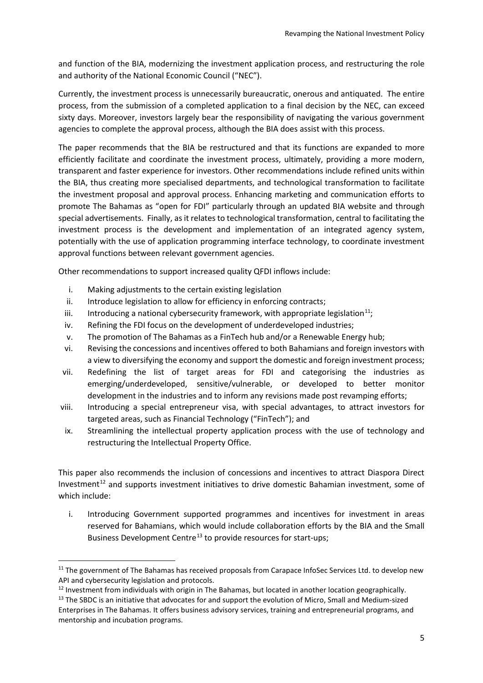and function of the BIA, modernizing the investment application process, and restructuring the role and authority of the National Economic Council ("NEC").

Currently, the investment process is unnecessarily bureaucratic, onerous and antiquated. The entire process, from the submission of a completed application to a final decision by the NEC, can exceed sixty days. Moreover, investors largely bear the responsibility of navigating the various government agencies to complete the approval process, although the BIA does assist with this process.

The paper recommends that the BIA be restructured and that its functions are expanded to more efficiently facilitate and coordinate the investment process, ultimately, providing a more modern, transparent and faster experience for investors. Other recommendations include refined units within the BIA, thus creating more specialised departments, and technological transformation to facilitate the investment proposal and approval process. Enhancing marketing and communication efforts to promote The Bahamas as "open for FDI" particularly through an updated BIA website and through special advertisements. Finally, as it relates to technological transformation, central to facilitating the investment process is the development and implementation of an integrated agency system, potentially with the use of application programming interface technology, to coordinate investment approval functions between relevant government agencies.

Other recommendations to support increased quality QFDI inflows include:

- i. Making adjustments to the certain existing legislation
- ii. Introduce legislation to allow for efficiency in enforcing contracts;
- iii. Introducing a national cybersecurity framework, with appropriate legislation<sup>11</sup>;
- iv. Refining the FDI focus on the development of underdeveloped industries;
- v. The promotion of The Bahamas as a FinTech hub and/or a Renewable Energy hub;
- vi. Revising the concessions and incentives offered to both Bahamians and foreign investors with a view to diversifying the economy and support the domestic and foreign investment process;
- vii. Redefining the list of target areas for FDI and categorising the industries as emerging/underdeveloped, sensitive/vulnerable, or developed to better monitor development in the industries and to inform any revisions made post revamping efforts;
- viii. Introducing a special entrepreneur visa, with special advantages, to attract investors for targeted areas, such as Financial Technology ("FinTech"); and
- ix. Streamlining the intellectual property application process with the use of technology and restructuring the Intellectual Property Office.

This paper also recommends the inclusion of concessions and incentives to attract Diaspora Direct Investment<sup>[12](#page-4-1)</sup> and supports investment initiatives to drive domestic Bahamian investment, some of which include:

i. Introducing Government supported programmes and incentives for investment in areas reserved for Bahamians, which would include collaboration efforts by the BIA and the Small Business Development Centre<sup>[13](#page-4-2)</sup> to provide resources for start-ups;

<span id="page-4-0"></span><sup>&</sup>lt;sup>11</sup> The government of The Bahamas has received proposals from Carapace InfoSec Services Ltd. to develop new API and cybersecurity legislation and protocols.

<span id="page-4-1"></span><sup>&</sup>lt;sup>12</sup> Investment from individuals with origin in The Bahamas, but located in another location geographically.

<span id="page-4-2"></span><sup>&</sup>lt;sup>13</sup> The SBDC is an initiative that advocates for and support the evolution of Micro, Small and Medium-sized Enterprises in The Bahamas. It offers business advisory services, training and entrepreneurial programs, and mentorship and incubation programs.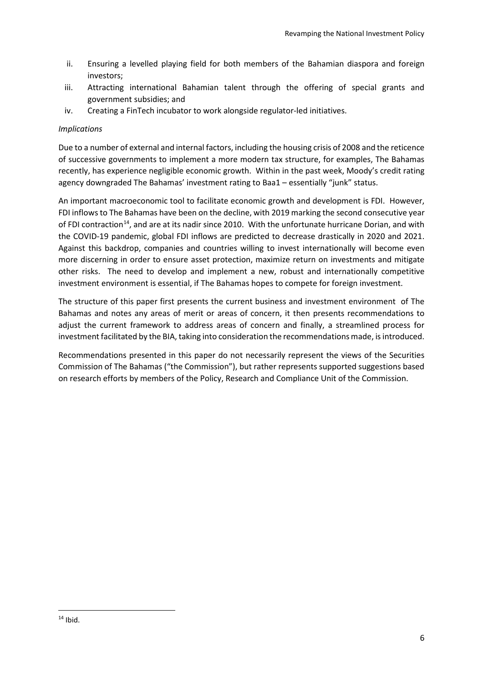- ii. Ensuring a levelled playing field for both members of the Bahamian diaspora and foreign investors;
- iii. Attracting international Bahamian talent through the offering of special grants and government subsidies; and
- iv. Creating a FinTech incubator to work alongside regulator-led initiatives.

## *Implications*

Due to a number of external and internal factors, including the housing crisis of 2008 and the reticence of successive governments to implement a more modern tax structure, for examples, The Bahamas recently, has experience negligible economic growth. Within in the past week, Moody's credit rating agency downgraded The Bahamas' investment rating to Baa1 – essentially "junk" status.

An important macroeconomic tool to facilitate economic growth and development is FDI. However, FDI inflowsto The Bahamas have been on the decline, with 2019 marking the second consecutive year of FDI contraction<sup>[14](#page-5-0)</sup>, and are at its nadir since 2010. With the unfortunate hurricane Dorian, and with the COVID-19 pandemic, global FDI inflows are predicted to decrease drastically in 2020 and 2021. Against this backdrop, companies and countries willing to invest internationally will become even more discerning in order to ensure asset protection, maximize return on investments and mitigate other risks. The need to develop and implement a new, robust and internationally competitive investment environment is essential, if The Bahamas hopes to compete for foreign investment.

The structure of this paper first presents the current business and investment environment of The Bahamas and notes any areas of merit or areas of concern, it then presents recommendations to adjust the current framework to address areas of concern and finally, a streamlined process for investment facilitated by the BIA, taking into consideration the recommendations made, is introduced.

Recommendations presented in this paper do not necessarily represent the views of the Securities Commission of The Bahamas ("the Commission"), but rather represents supported suggestions based on research efforts by members of the Policy, Research and Compliance Unit of the Commission.

<span id="page-5-0"></span> $14$  Ibid.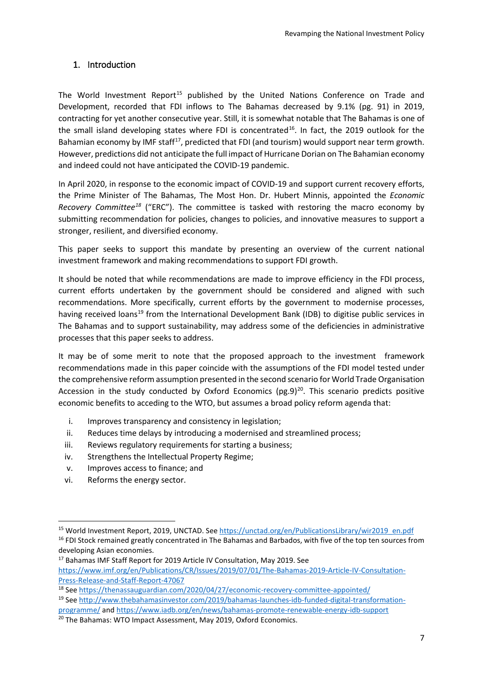## <span id="page-6-0"></span>1. Introduction

The World Investment Report<sup>[15](#page-6-1)</sup> published by the United Nations Conference on Trade and Development, recorded that FDI inflows to The Bahamas decreased by 9.1% (pg. 91) in 2019, contracting for yet another consecutive year. Still, it is somewhat notable that The Bahamas is one of the small island developing states where FDI is concentrated<sup>[16](#page-6-2)</sup>. In fact, the 2019 outlook for the Bahamian economy by IMF staff<sup>17</sup>, predicted that FDI (and tourism) would support near term growth. However, predictions did not anticipate the full impact of Hurricane Dorian on The Bahamian economy and indeed could not have anticipated the COVID-19 pandemic.

In April 2020, in response to the economic impact of COVID-19 and support current recovery efforts, the Prime Minister of The Bahamas, The Most Hon. Dr. Hubert Minnis, appointed the *Economic Recovery Committee[18](#page-6-4)* ("ERC"). The committee is tasked with restoring the macro economy by submitting recommendation for policies, changes to policies, and innovative measures to support a stronger, resilient, and diversified economy.

This paper seeks to support this mandate by presenting an overview of the current national investment framework and making recommendations to support FDI growth.

It should be noted that while recommendations are made to improve efficiency in the FDI process, current efforts undertaken by the government should be considered and aligned with such recommendations. More specifically, current efforts by the government to modernise processes, having received loans<sup>[19](#page-6-5)</sup> from the International Development Bank (IDB) to digitise public services in The Bahamas and to support sustainability, may address some of the deficiencies in administrative processes that this paper seeks to address.

It may be of some merit to note that the proposed approach to the investment framework recommendations made in this paper coincide with the assumptions of the FDI model tested under the comprehensive reform assumption presented in the second scenario for World Trade Organisation Accession in the study conducted by Oxford Economics ( $pg.9$ )<sup>20</sup>. This scenario predicts positive economic benefits to acceding to the WTO, but assumes a broad policy reform agenda that:

- i. Improves transparency and consistency in legislation;
- ii. Reduces time delays by introducing a modernised and streamlined process;
- iii. Reviews regulatory requirements for starting a business;
- iv. Strengthens the Intellectual Property Regime;
- v. Improves access to finance; and
- vi. Reforms the energy sector.

<span id="page-6-2"></span><span id="page-6-1"></span> <sup>15</sup> World Investment Report, 2019, UNCTAD. See [https://unctad.org/en/PublicationsLibrary/wir2019\\_en.pdf](https://unctad.org/en/PublicationsLibrary/wir2019_en.pdf) <sup>16</sup> FDI Stock remained greatly concentrated in The Bahamas and Barbados, with five of the top ten sources from developing Asian economies.

<span id="page-6-3"></span><sup>&</sup>lt;sup>17</sup> Bahamas IMF Staff Report for 2019 Article IV Consultation, May 2019. See [https://www.imf.org/en/Publications/CR/Issues/2019/07/01/The-Bahamas-2019-Article-IV-Consultation-](https://www.imf.org/en/Publications/CR/Issues/2019/07/01/The-Bahamas-2019-Article-IV-Consultation-Press-Release-and-Staff-Report-47067)[Press-Release-and-Staff-Report-47067](https://www.imf.org/en/Publications/CR/Issues/2019/07/01/The-Bahamas-2019-Article-IV-Consultation-Press-Release-and-Staff-Report-47067)

<span id="page-6-4"></span><sup>18</sup> Se[e https://thenassauguardian.com/2020/04/27/economic-recovery-committee-appointed/](https://thenassauguardian.com/2020/04/27/economic-recovery-committee-appointed/)

<span id="page-6-5"></span><sup>19</sup> Se[e http://www.thebahamasinvestor.com/2019/bahamas-launches-idb-funded-digital-transformation](http://www.thebahamasinvestor.com/2019/bahamas-launches-idb-funded-digital-transformation-programme/)[programme/](http://www.thebahamasinvestor.com/2019/bahamas-launches-idb-funded-digital-transformation-programme/) an[d https://www.iadb.org/en/news/bahamas-promote-renewable-energy-idb-support](https://www.iadb.org/en/news/bahamas-promote-renewable-energy-idb-support)

<span id="page-6-6"></span><sup>&</sup>lt;sup>20</sup> The Bahamas: WTO Impact Assessment, May 2019, Oxford Economics.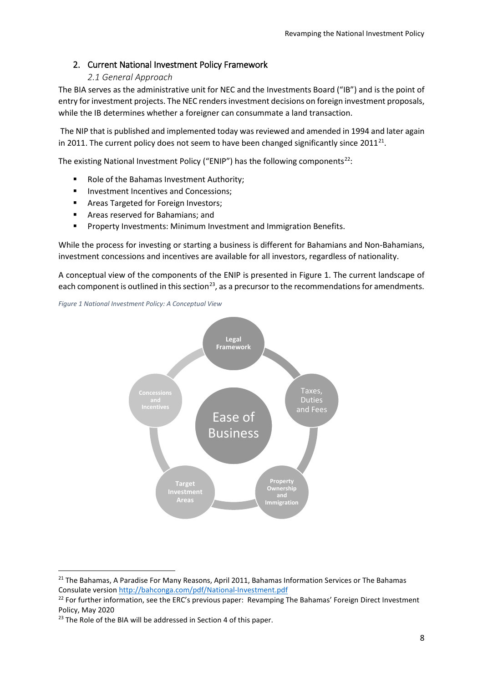## <span id="page-7-0"></span>2. Current National Investment Policy Framework

## *2.1 General Approach*

<span id="page-7-1"></span>The BIA serves as the administrative unit for NEC and the Investments Board ("IB") and is the point of entry for investment projects. The NEC renders investment decisions on foreign investment proposals, while the IB determines whether a foreigner can consummate a land transaction.

The NIP that is published and implemented today was reviewed and amended in 1994 and later again in 2011. The current policy does not seem to have been changed significantly since  $2011^{21}$ .

The existing National Investment Policy ("ENIP") has the following components<sup>22</sup>:

- Role of the Bahamas Investment Authority;
- **Investment Incentives and Concessions:**
- **Areas Targeted for Foreign Investors;**
- **F** Areas reserved for Bahamians; and
- **Property Investments: Minimum Investment and Immigration Benefits.**

While the process for investing or starting a business is different for Bahamians and Non-Bahamians, investment concessions and incentives are available for all investors, regardless of nationality.

A conceptual view of the components of the ENIP is presented in Figure 1. The current landscape of each component is outlined in this section<sup>[23](#page-7-4)</sup>, as a precursor to the recommendations for amendments.

<span id="page-7-5"></span>*Figure 1 National Investment Policy: A Conceptual View*



<span id="page-7-2"></span><sup>&</sup>lt;sup>21</sup> The Bahamas, A Paradise For Many Reasons, April 2011, Bahamas Information Services or The Bahamas Consulate versio[n http://bahconga.com/pdf/National-Investment.pdf](http://bahconga.com/pdf/National-Investment.pdf)

<span id="page-7-3"></span><sup>&</sup>lt;sup>22</sup> For further information, see the ERC's previous paper: Revamping The Bahamas' Foreign Direct Investment Policy, May 2020

<span id="page-7-4"></span> $23$  The Role of the BIA will be addressed in Section 4 of this paper.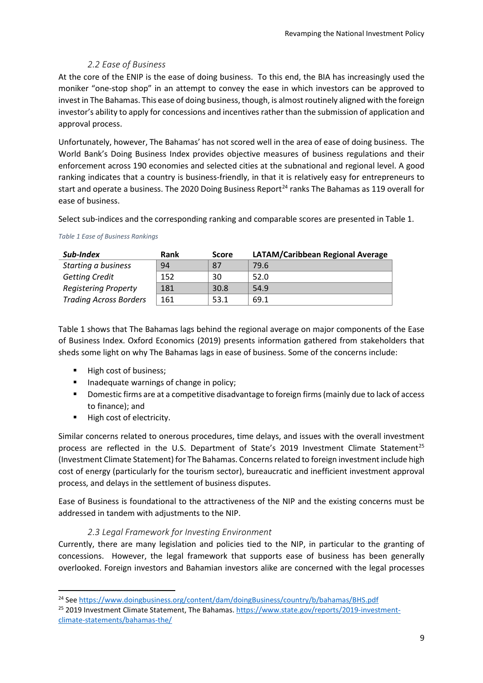## *2.2 Ease of Business*

<span id="page-8-0"></span>At the core of the ENIP is the ease of doing business. To this end, the BIA has increasingly used the moniker "one-stop shop" in an attempt to convey the ease in which investors can be approved to invest in The Bahamas. This ease of doing business, though, is almost routinely aligned with the foreign investor's ability to apply for concessions and incentives rather than the submission of application and approval process.

Unfortunately, however, The Bahamas' has not scored well in the area of ease of doing business. The World Bank's Doing Business Index provides objective measures of business regulations and their enforcement across 190 economies and selected cities at the subnational and regional level. A good ranking indicates that a country is business-friendly, in that it is relatively easy for entrepreneurs to start and operate a business. The 2020 Doing Business Report<sup>[24](#page-8-2)</sup> ranks The Bahamas as 119 overall for ease of business.

Select sub-indices and the corresponding ranking and comparable scores are presented in Table 1.

| Sub-Index                     | Rank<br><b>Score</b> |      | LATAM/Caribbean Regional Average |
|-------------------------------|----------------------|------|----------------------------------|
| Starting a business           | 94                   | 87   | 79.6                             |
| <b>Getting Credit</b>         | 152                  | 30   | 52.0                             |
| <b>Registering Property</b>   | 181                  | 30.8 | 54.9                             |
| <b>Trading Across Borders</b> | 161                  | 53.1 | 69.1                             |

#### <span id="page-8-4"></span>*Table 1 Ease of Business Rankings*

Table 1 shows that The Bahamas lags behind the regional average on major components of the Ease of Business Index. Oxford Economics (2019) presents information gathered from stakeholders that sheds some light on why The Bahamas lags in ease of business. Some of the concerns include:

- High cost of business:
- Inadequate warnings of change in policy;
- **Domestic firms are at a competitive disadvantage to foreign firms (mainly due to lack of access** to finance); and
- High cost of electricity.

Similar concerns related to onerous procedures, time delays, and issues with the overall investment process are reflected in the U.S. Department of State's 2019 Investment Climate Statement<sup>[25](#page-8-3)</sup> (Investment Climate Statement) for The Bahamas. Concerns related to foreign investment include high cost of energy (particularly for the tourism sector), bureaucratic and inefficient investment approval process, and delays in the settlement of business disputes.

Ease of Business is foundational to the attractiveness of the NIP and the existing concerns must be addressed in tandem with adjustments to the NIP.

## *2.3 Legal Framework for Investing Environment*

<span id="page-8-1"></span>Currently, there are many legislation and policies tied to the NIP, in particular to the granting of concessions. However, the legal framework that supports ease of business has been generally overlooked. Foreign investors and Bahamian investors alike are concerned with the legal processes

<span id="page-8-2"></span><sup>&</sup>lt;sup>24</sup> Se[e https://www.doingbusiness.org/content/dam/doingBusiness/country/b/bahamas/BHS.pdf](https://www.doingbusiness.org/content/dam/doingBusiness/country/b/bahamas/BHS.pdf)

<span id="page-8-3"></span><sup>&</sup>lt;sup>25</sup> 2019 Investment Climate Statement, The Bahamas[. https://www.state.gov/reports/2019-investment](https://www.state.gov/reports/2019-investment-climate-statements/bahamas-the/)[climate-statements/bahamas-the/](https://www.state.gov/reports/2019-investment-climate-statements/bahamas-the/)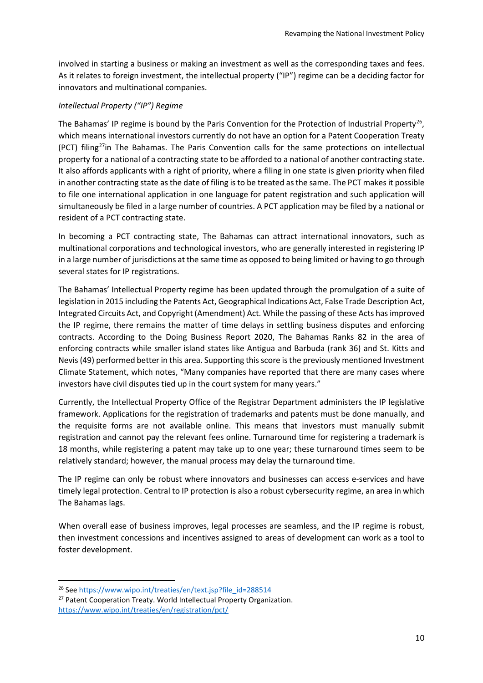involved in starting a business or making an investment as well as the corresponding taxes and fees. As it relates to foreign investment, the intellectual property ("IP") regime can be a deciding factor for innovators and multinational companies.

#### *Intellectual Property ("IP") Regime*

The Bahamas' IP regime is bound by the Paris Convention for the Protection of Industrial Property<sup>26</sup>, which means international investors currently do not have an option for a Patent Cooperation Treaty (PCT) filing<sup>[27](#page-9-1)</sup>in The Bahamas. The Paris Convention calls for the same protections on intellectual property for a national of a contracting state to be afforded to a national of another contracting state. It also affords applicants with a right of priority, where a filing in one state is given priority when filed in another contracting state as the date of filing is to be treated as the same. The PCT makes it possible to file one international application in one language for patent registration and such application will simultaneously be filed in a large number of countries. A PCT application may be filed by a national or resident of a PCT contracting state.

In becoming a PCT contracting state, The Bahamas can attract international innovators, such as multinational corporations and technological investors, who are generally interested in registering IP in a large number of jurisdictions at the same time as opposed to being limited or having to go through several states for IP registrations.

The Bahamas' Intellectual Property regime has been updated through the promulgation of a suite of legislation in 2015 including the Patents Act, Geographical Indications Act, False Trade Description Act, Integrated Circuits Act, and Copyright (Amendment) Act. While the passing of these Acts has improved the IP regime, there remains the matter of time delays in settling business disputes and enforcing contracts. According to the Doing Business Report 2020, The Bahamas Ranks 82 in the area of enforcing contracts while smaller island states like Antigua and Barbuda (rank 36) and St. Kitts and Nevis (49) performed better in this area. Supporting this score is the previously mentioned Investment Climate Statement, which notes, "Many companies have reported that there are many cases where investors have civil disputes tied up in the court system for many years."

Currently, the Intellectual Property Office of the Registrar Department administers the IP legislative framework. Applications for the registration of trademarks and patents must be done manually, and the requisite forms are not available online. This means that investors must manually submit registration and cannot pay the relevant fees online. Turnaround time for registering a trademark is 18 months, while registering a patent may take up to one year; these turnaround times seem to be relatively standard; however, the manual process may delay the turnaround time.

The IP regime can only be robust where innovators and businesses can access e-services and have timely legal protection. Central to IP protection is also a robust cybersecurity regime, an area in which The Bahamas lags.

When overall ease of business improves, legal processes are seamless, and the IP regime is robust, then investment concessions and incentives assigned to areas of development can work as a tool to foster development.

<span id="page-9-0"></span><sup>&</sup>lt;sup>26</sup> Se[e https://www.wipo.int/treaties/en/text.jsp?file\\_id=288514](https://www.wipo.int/treaties/en/text.jsp?file_id=288514)

<span id="page-9-1"></span><sup>&</sup>lt;sup>27</sup> Patent Cooperation Treaty. World Intellectual Property Organization. <https://www.wipo.int/treaties/en/registration/pct/>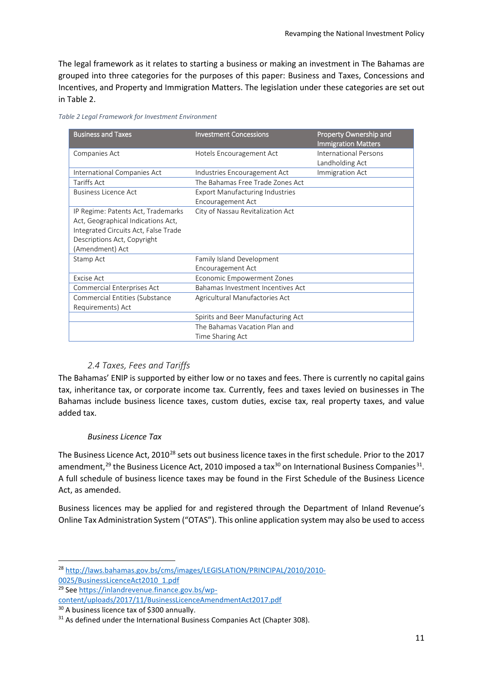The legal framework as it relates to starting a business or making an investment in The Bahamas are grouped into three categories for the purposes of this paper: Business and Taxes, Concessions and Incentives, and Property and Immigration Matters. The legislation under these categories are set out in Table 2.

<span id="page-10-5"></span>*Table 2 Legal Framework for Investment Environment*

| <b>Business and Taxes</b>                                                                                                                                          | <b>Investment Concessions</b>                               | Property Ownership and<br><b>Immigration Matters</b> |
|--------------------------------------------------------------------------------------------------------------------------------------------------------------------|-------------------------------------------------------------|------------------------------------------------------|
| Companies Act                                                                                                                                                      | Hotels Encouragement Act                                    | <b>International Persons</b><br>Landholding Act      |
| International Companies Act                                                                                                                                        | Industries Encouragement Act                                | Immigration Act                                      |
| Tariffs Act                                                                                                                                                        | The Bahamas Free Trade Zones Act                            |                                                      |
| <b>Business Licence Act</b>                                                                                                                                        | <b>Export Manufacturing Industries</b><br>Encouragement Act |                                                      |
| IP Regime: Patents Act, Trademarks<br>Act, Geographical Indications Act,<br>Integrated Circuits Act, False Trade<br>Descriptions Act, Copyright<br>(Amendment) Act | City of Nassau Revitalization Act                           |                                                      |
| Stamp Act                                                                                                                                                          | Family Island Development<br>Encouragement Act              |                                                      |
| Excise Act                                                                                                                                                         | <b>Economic Empowerment Zones</b>                           |                                                      |
| Commercial Enterprises Act                                                                                                                                         | Bahamas Investment Incentives Act                           |                                                      |
| Commercial Entities (Substance<br>Requirements) Act                                                                                                                | Agricultural Manufactories Act                              |                                                      |
|                                                                                                                                                                    | Spirits and Beer Manufacturing Act                          |                                                      |
|                                                                                                                                                                    | The Bahamas Vacation Plan and                               |                                                      |
|                                                                                                                                                                    | Time Sharing Act                                            |                                                      |

## *2.4 Taxes, Fees and Tariffs*

<span id="page-10-0"></span>The Bahamas' ENIP is supported by either low or no taxes and fees. There is currently no capital gains tax, inheritance tax, or corporate income tax. Currently, fees and taxes levied on businesses in The Bahamas include business licence taxes, custom duties, excise tax, real property taxes, and value added tax.

## *Business Licence Tax*

The Business Licence Act, 2010<sup>[28](#page-10-1)</sup> sets out business licence taxes in the first schedule. Prior to the 2017 amendment,<sup>[29](#page-10-2)</sup> the Business Licence Act, 2010 imposed a tax<sup>[30](#page-10-3)</sup> on International Business Companies<sup>[31](#page-10-4)</sup>. A full schedule of business licence taxes may be found in the First Schedule of the Business Licence Act, as amended.

Business licences may be applied for and registered through the Department of Inland Revenue's Online Tax Administration System ("OTAS"). This online application system may also be used to access

<span id="page-10-1"></span> <sup>28</sup> [http://laws.bahamas.gov.bs/cms/images/LEGISLATION/PRINCIPAL/2010/2010-](http://laws.bahamas.gov.bs/cms/images/LEGISLATION/PRINCIPAL/2010/2010-0025/BusinessLicenceAct2010_1.pdf) [0025/BusinessLicenceAct2010\\_1.pdf](http://laws.bahamas.gov.bs/cms/images/LEGISLATION/PRINCIPAL/2010/2010-0025/BusinessLicenceAct2010_1.pdf)

<span id="page-10-2"></span><sup>29</sup> Se[e https://inlandrevenue.finance.gov.bs/wp](https://inlandrevenue.finance.gov.bs/wp-content/uploads/2017/11/BusinessLicenceAmendmentAct2017.pdf)[content/uploads/2017/11/BusinessLicenceAmendmentAct2017.pdf](https://inlandrevenue.finance.gov.bs/wp-content/uploads/2017/11/BusinessLicenceAmendmentAct2017.pdf)

<span id="page-10-3"></span><sup>&</sup>lt;sup>30</sup> A business licence tax of \$300 annually.

<span id="page-10-4"></span> $31$  As defined under the International Business Companies Act (Chapter 308).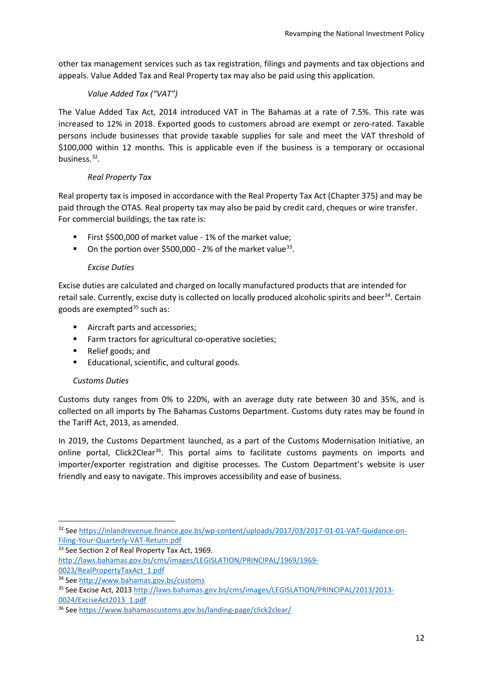other tax management services such as tax registration, filings and payments and tax objections and appeals. Value Added Tax and Real Property tax may also be paid using this application.

## *Value Added Tax ("VAT")*

The Value Added Tax Act, 2014 introduced VAT in The Bahamas at a rate of 7.5%. This rate was increased to 12% in 2018. Exported goods to customers abroad are exempt or zero-rated. Taxable persons include businesses that provide taxable supplies for sale and meet the VAT threshold of \$100,000 within 12 months. This is applicable even if the business is a temporary or occasional business.[32](#page-11-0).

## *Real Property Tax*

Real property tax is imposed in accordance with the Real Property Tax Act (Chapter 375) and may be paid through the OTAS. Real property tax may also be paid by credit card, cheques or wire transfer. For commercial buildings, the tax rate is:

- First \$500,000 of market value 1% of the market value;
- On the portion over \$500,000 2% of the market value<sup>[33](#page-11-1)</sup>.

## *Excise Duties*

Excise duties are calculated and charged on locally manufactured products that are intended for retail sale. Currently, excise duty is collected on locally produced alcoholic spirits and beer<sup>[34](#page-11-2)</sup>. Certain goods are exempted $35$  such as:

- **Aircraft parts and accessories;**
- **Farm tractors for agricultural co-operative societies;**
- Relief goods; and
- Educational, scientific, and cultural goods.

## *Customs Duties*

Customs duty ranges from 0% to 220%, with an average duty rate between 30 and 35%, and is collected on all imports by The Bahamas Customs Department. Customs duty rates may be found in the Tariff Act, 2013, as amended.

In 2019, the Customs Department launched, as a part of the Customs Modernisation Initiative, an online portal, Click2Clear<sup>36</sup>. This portal aims to facilitate customs payments on imports and importer/exporter registration and digitise processes. The Custom Department's website is user friendly and easy to navigate. This improves accessibility and ease of business.

[http://laws.bahamas.gov.bs/cms/images/LEGISLATION/PRINCIPAL/1969/1969-](http://laws.bahamas.gov.bs/cms/images/LEGISLATION/PRINCIPAL/1969/1969-0023/RealPropertyTaxAct_1.pdf)

[0023/RealPropertyTaxAct\\_1.pdf](http://laws.bahamas.gov.bs/cms/images/LEGISLATION/PRINCIPAL/1969/1969-0023/RealPropertyTaxAct_1.pdf)

<span id="page-11-0"></span> <sup>32</sup> Se[e https://inlandrevenue.finance.gov.bs/wp-content/uploads/2017/03/2017-01-01-VAT-Guidance-on-](https://inlandrevenue.finance.gov.bs/wp-content/uploads/2017/03/2017-01-01-VAT-Guidance-on-Filing-Your-Quarterly-VAT-Return.pdf)[Filing-Your-Quarterly-VAT-Return.pdf](https://inlandrevenue.finance.gov.bs/wp-content/uploads/2017/03/2017-01-01-VAT-Guidance-on-Filing-Your-Quarterly-VAT-Return.pdf)

<span id="page-11-1"></span><sup>33</sup> See Section 2 of Real Property Tax Act, 1969.

<span id="page-11-2"></span><sup>34</sup> Se[e http://www.bahamas.gov.bs/customs](http://www.bahamas.gov.bs/customs)

<span id="page-11-3"></span><sup>35</sup> See Excise Act, 2013 [http://laws.bahamas.gov.bs/cms/images/LEGISLATION/PRINCIPAL/2013/2013-](http://laws.bahamas.gov.bs/cms/images/LEGISLATION/PRINCIPAL/2013/2013-0024/ExciseAct2013_1.pdf) [0024/ExciseAct2013\\_1.pdf](http://laws.bahamas.gov.bs/cms/images/LEGISLATION/PRINCIPAL/2013/2013-0024/ExciseAct2013_1.pdf)

<span id="page-11-4"></span><sup>36</sup> Se[e https://www.bahamascustoms.gov.bs/landing-page/click2clear/](https://www.bahamascustoms.gov.bs/landing-page/click2clear/)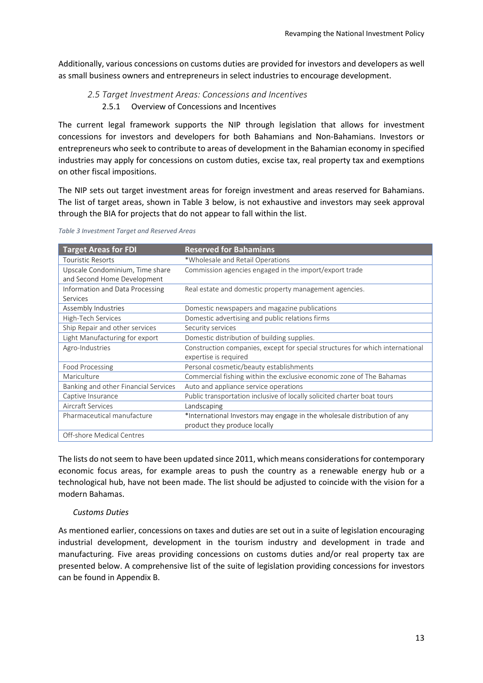<span id="page-12-0"></span>Additionally, various concessions on customs duties are provided for investors and developers as well as small business owners and entrepreneurs in select industries to encourage development.

## *2.5 Target Investment Areas: Concessions and Incentives* 2.5.1 Overview of Concessions and Incentives

The current legal framework supports the NIP through legislation that allows for investment concessions for investors and developers for both Bahamians and Non-Bahamians. Investors or entrepreneurs who seek to contribute to areas of development in the Bahamian economy in specified industries may apply for concessions on custom duties, excise tax, real property tax and exemptions on other fiscal impositions.

The NIP sets out target investment areas for foreign investment and areas reserved for Bahamians. The list of target areas, shown in Table 3 below, is not exhaustive and investors may seek approval through the BIA for projects that do not appear to fall within the list.

| <b>Target Areas for FDI</b>          | <b>Reserved for Bahamians</b>                                                 |
|--------------------------------------|-------------------------------------------------------------------------------|
| <b>Touristic Resorts</b>             | *Wholesale and Retail Operations                                              |
| Upscale Condominium, Time share      | Commission agencies engaged in the import/export trade                        |
| and Second Home Development          |                                                                               |
| Information and Data Processing      | Real estate and domestic property management agencies.                        |
| Services                             |                                                                               |
| Assembly Industries                  | Domestic newspapers and magazine publications                                 |
| High-Tech Services                   | Domestic advertising and public relations firms                               |
| Ship Repair and other services       | Security services                                                             |
| Light Manufacturing for export       | Domestic distribution of building supplies.                                   |
| Agro-Industries                      | Construction companies, except for special structures for which international |
|                                      | expertise is required                                                         |
| Food Processing                      | Personal cosmetic/beauty establishments                                       |
| Mariculture                          | Commercial fishing within the exclusive economic zone of The Bahamas          |
| Banking and other Financial Services | Auto and appliance service operations                                         |
| Captive Insurance                    | Public transportation inclusive of locally solicited charter boat tours       |
| Aircraft Services                    | Landscaping                                                                   |
| Pharmaceutical manufacture           | *International Investors may engage in the wholesale distribution of any      |
|                                      | product they produce locally                                                  |
| Off-shore Medical Centres            |                                                                               |

<span id="page-12-1"></span>*Table 3 Investment Target and Reserved Areas*

The lists do not seem to have been updated since 2011, which means considerations for contemporary economic focus areas, for example areas to push the country as a renewable energy hub or a technological hub, have not been made. The list should be adjusted to coincide with the vision for a modern Bahamas.

## *Customs Duties*

As mentioned earlier, concessions on taxes and duties are set out in a suite of legislation encouraging industrial development, development in the tourism industry and development in trade and manufacturing. Five areas providing concessions on customs duties and/or real property tax are presented below. A comprehensive list of the suite of legislation providing concessions for investors can be found in Appendix B.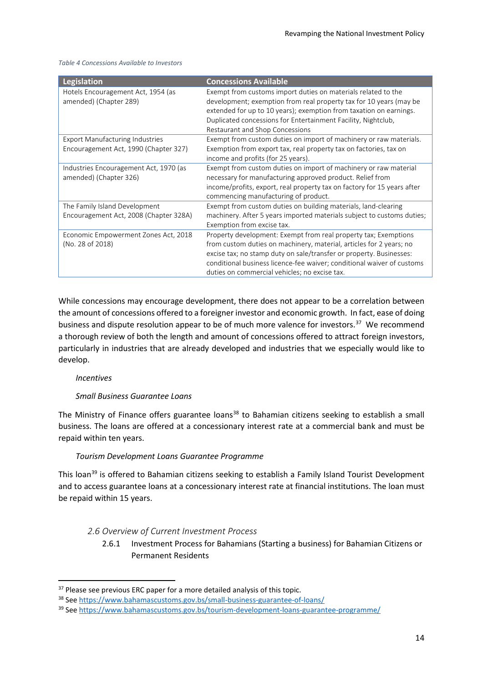| Legislation                                                                     | <b>Concessions Available</b>                                                                                                                                                                                                                                                                                                             |
|---------------------------------------------------------------------------------|------------------------------------------------------------------------------------------------------------------------------------------------------------------------------------------------------------------------------------------------------------------------------------------------------------------------------------------|
| Hotels Encouragement Act, 1954 (as<br>amended) (Chapter 289)                    | Exempt from customs import duties on materials related to the<br>development; exemption from real property tax for 10 years (may be<br>extended for up to 10 years); exemption from taxation on earnings.<br>Duplicated concessions for Entertainment Facility, Nightclub,<br>Restaurant and Shop Concessions                            |
| <b>Export Manufacturing Industries</b><br>Encouragement Act, 1990 (Chapter 327) | Exempt from custom duties on import of machinery or raw materials.<br>Exemption from export tax, real property tax on factories, tax on<br>income and profits (for 25 years).                                                                                                                                                            |
| Industries Encouragement Act, 1970 (as<br>amended) (Chapter 326)                | Exempt from custom duties on import of machinery or raw material<br>necessary for manufacturing approved product. Relief from<br>income/profits, export, real property tax on factory for 15 years after<br>commencing manufacturing of product.                                                                                         |
| The Family Island Development<br>Encouragement Act, 2008 (Chapter 328A)         | Exempt from custom duties on building materials, land-clearing<br>machinery. After 5 years imported materials subject to customs duties;<br>Exemption from excise tax.                                                                                                                                                                   |
| Economic Empowerment Zones Act, 2018<br>(No. 28 of 2018)                        | Property development: Exempt from real property tax; Exemptions<br>from custom duties on machinery, material, articles for 2 years; no<br>excise tax; no stamp duty on sale/transfer or property. Businesses:<br>conditional business licence-fee waiver; conditional waiver of customs<br>duties on commercial vehicles; no excise tax. |

#### <span id="page-13-4"></span>*Table 4 Concessions Available to Investors*

While concessions may encourage development, there does not appear to be a correlation between the amount of concessions offered to a foreigner investor and economic growth. In fact, ease of doing business and dispute resolution appear to be of much more valence for investors.<sup>37</sup> We recommend a thorough review of both the length and amount of concessions offered to attract foreign investors, particularly in industries that are already developed and industries that we especially would like to develop.

## *Incentives*

## *Small Business Guarantee Loans*

The Ministry of Finance offers guarantee loans<sup>[38](#page-13-2)</sup> to Bahamian citizens seeking to establish a small business. The loans are offered at a concessionary interest rate at a commercial bank and must be repaid within ten years.

## *Tourism Development Loans Guarantee Programme*

This loan<sup>[39](#page-13-3)</sup> is offered to Bahamian citizens seeking to establish a Family Island Tourist Development and to access guarantee loans at a concessionary interest rate at financial institutions. The loan must be repaid within 15 years.

## <span id="page-13-0"></span>*2.6 Overview of Current Investment Process*

2.6.1 Investment Process for Bahamians (Starting a business) for Bahamian Citizens or Permanent Residents

<span id="page-13-1"></span><sup>&</sup>lt;sup>37</sup> Please see previous ERC paper for a more detailed analysis of this topic.

<span id="page-13-2"></span><sup>38</sup> Se[e https://www.bahamascustoms.gov.bs/small-business-guarantee-of-loans/](https://www.bahamascustoms.gov.bs/small-business-guarantee-of-loans/)

<span id="page-13-3"></span><sup>39</sup> Se[e https://www.bahamascustoms.gov.bs/tourism-development-loans-guarantee-programme/](https://www.bahamascustoms.gov.bs/tourism-development-loans-guarantee-programme/)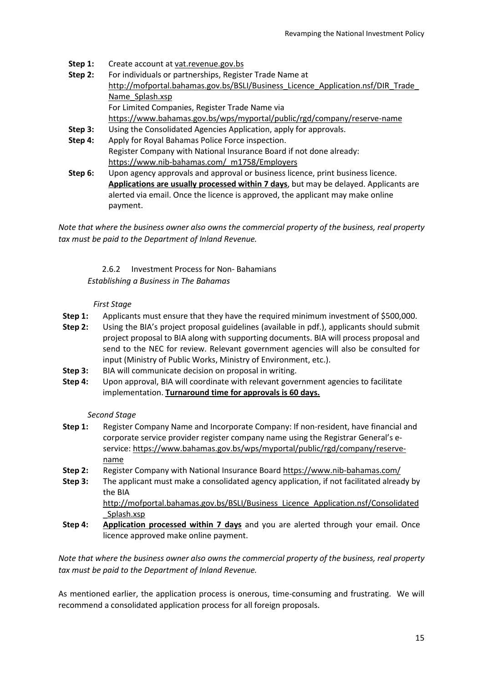- **Step 1:** Create account a[t vat.revenue.gov.bs](http://vat.revenue.gov.bs/)
- **Step 2:** For individuals or partnerships, Register Trade Name at [http://mofportal.bahamas.gov.bs/BSLI/Business\\_Licence\\_Application.nsf/DIR\\_Trade\\_](http://mofportal.bahamas.gov.bs/BSLI/Business_License_Application.nsf/DIR_Trade_Name_Splash.xsp) [Name\\_Splash.xsp](http://mofportal.bahamas.gov.bs/BSLI/Business_License_Application.nsf/DIR_Trade_Name_Splash.xsp) For Limited Companies, Register Trade Name via <https://www.bahamas.gov.bs/wps/myportal/public/rgd/company/reserve-name>
- **Step 3:** Using the Consolidated Agencies Application, apply for approvals.
- **Step 4:** Apply for Royal Bahamas Police Force inspection. Register Company with National Insurance Board if not done already: https://www.nib-bahamas.com/ m1758/Employers
- **Step 6:** Upon agency approvals and approval or business licence, print business licence. **Applications are usually processed within 7 days**, but may be delayed. Applicants are alerted via email. Once the licence is approved, the applicant may make online payment.

*Note that where the business owner also owns the commercial property of the business, real property tax must be paid to the Department of Inland Revenue.*

## 2.6.2 Investment Process for Non- Bahamians *Establishing a Business in The Bahamas*

## *First Stage*

- **Step 1:** Applicants must ensure that they have the required minimum investment of \$500,000.
- **Step 2:** Using the BIA's project proposal guidelines (available in pdf.), applicants should submit project proposal to BIA along with supporting documents. BIA will process proposal and send to the NEC for review. Relevant government agencies will also be consulted for input (Ministry of Public Works, Ministry of Environment, etc.).
- **Step 3:** BIA will communicate decision on proposal in writing.
- Step 4: Upon approval, BIA will coordinate with relevant government agencies to facilitate implementation. **Turnaround time for approvals is 60 days.**

## *Second Stage*

- **Step 1:** Register Company Name and Incorporate Company: If non-resident, have financial and corporate service provider register company name using the Registrar General's eservice[: https://www.bahamas.gov.bs/wps/myportal/public/rgd/company/reserve](https://www.bahamas.gov.bs/wps/myportal/public/rgd/company/reserve-name)[name](https://www.bahamas.gov.bs/wps/myportal/public/rgd/company/reserve-name)
- **Step 2:** Register Company with National Insurance Board<https://www.nib-bahamas.com/>
- **Step 3:** The applicant must make a consolidated agency application, if not facilitated already by the BIA [http://mofportal.bahamas.gov.bs/BSLI/Business\\_Licence\\_Application.nsf/Consolidated](http://mofportal.bahamas.gov.bs/BSLI/Business_Licence_Application.nsf/Consolidated_Splash.xsp) [\\_Splash.xsp](http://mofportal.bahamas.gov.bs/BSLI/Business_Licence_Application.nsf/Consolidated_Splash.xsp)
- **Step 4: Application processed within 7 days** and you are alerted through your email. Once licence approved make online payment.

*Note that where the business owner also owns the commercial property of the business, real property tax must be paid to the Department of Inland Revenue.*

As mentioned earlier, the application process is onerous, time-consuming and frustrating. We will recommend a consolidated application process for all foreign proposals.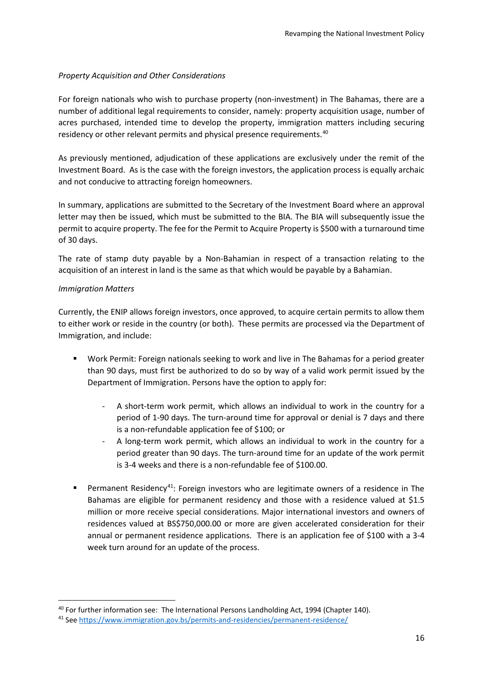## *Property Acquisition and Other Considerations*

For foreign nationals who wish to purchase property (non-investment) in The Bahamas, there are a number of additional legal requirements to consider, namely: property acquisition usage, number of acres purchased, intended time to develop the property, immigration matters including securing residency or other relevant permits and physical presence requirements.<sup>40</sup>

As previously mentioned, adjudication of these applications are exclusively under the remit of the Investment Board. As is the case with the foreign investors, the application process is equally archaic and not conducive to attracting foreign homeowners.

In summary, applications are submitted to the Secretary of the Investment Board where an approval letter may then be issued, which must be submitted to the BIA. The BIA will subsequently issue the permit to acquire property. The fee for the Permit to Acquire Property is \$500 with a turnaround time of 30 days.

The rate of stamp duty payable by a Non-Bahamian in respect of a transaction relating to the acquisition of an interest in land is the same as that which would be payable by a Bahamian.

#### *Immigration Matters*

Currently, the ENIP allows foreign investors, once approved, to acquire certain permits to allow them to either work or reside in the country (or both). These permits are processed via the Department of Immigration, and include:

- Work Permit: Foreign nationals seeking to work and live in The Bahamas for a period greater than 90 days, must first be authorized to do so by way of a valid work permit issued by the Department of Immigration. Persons have the option to apply for:
	- A short-term work permit, which allows an individual to work in the country for a period of 1-90 days. The turn-around time for approval or denial is 7 days and there is a non-refundable application fee of \$100; or
	- A long-term work permit, which allows an individual to work in the country for a period greater than 90 days. The turn-around time for an update of the work permit is 3-4 weeks and there is a non-refundable fee of \$100.00.
- **Permanent Residency<sup>41</sup>: Foreign investors who are legitimate owners of a residence in The** Bahamas are eligible for permanent residency and those with a residence valued at \$1.5 million or more receive special considerations. Major international investors and owners of residences valued at BS\$750,000.00 or more are given accelerated consideration for their annual or permanent residence applications. There is an application fee of \$100 with a 3-4 week turn around for an update of the process.

<span id="page-15-0"></span><sup>&</sup>lt;sup>40</sup> For further information see: The International Persons Landholding Act, 1994 (Chapter 140).

<span id="page-15-1"></span><sup>41</sup> Se[e https://www.immigration.gov.bs/permits-and-residencies/permanent-residence/](https://www.immigration.gov.bs/permits-and-residencies/permanent-residence/)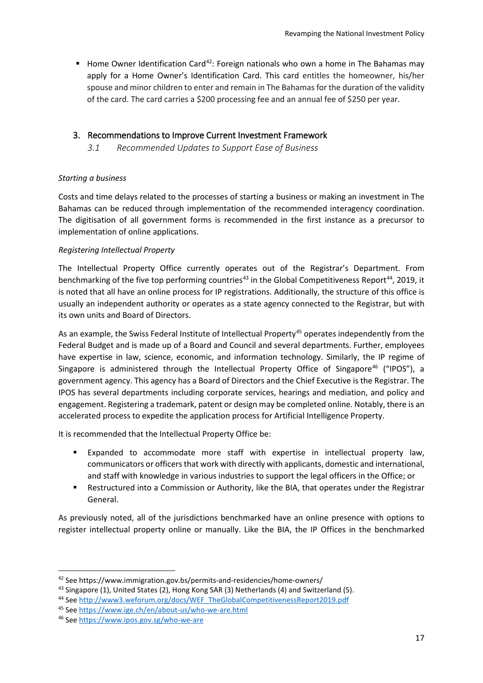Home Owner Identification Card<sup>[42](#page-16-2)</sup>: Foreign nationals who own a home in The Bahamas may apply for a Home Owner's Identification Card. This card entitles the homeowner, his/her spouse and minor children to enter and remain in The Bahamas for the duration of the validity of the card. The card carries a \$200 processing fee and an annual fee of \$250 per year.

## <span id="page-16-1"></span><span id="page-16-0"></span>3. Recommendations to Improve Current Investment Framework

*3.1 Recommended Updates to Support Ease of Business*

## *Starting a business*

Costs and time delays related to the processes of starting a business or making an investment in The Bahamas can be reduced through implementation of the recommended interagency coordination. The digitisation of all government forms is recommended in the first instance as a precursor to implementation of online applications.

## *Registering Intellectual Property*

The Intellectual Property Office currently operates out of the Registrar's Department. From benchmarking of the five top performing countries<sup>[43](#page-16-3)</sup> in the Global Competitiveness Report<sup>44</sup>, 2019, it is noted that all have an online process for IP registrations. Additionally, the structure of this office is usually an independent authority or operates as a state agency connected to the Registrar, but with its own units and Board of Directors.

As an example, the Swiss Federal Institute of Intellectual Property<sup>[45](#page-16-5)</sup> operates independently from the Federal Budget and is made up of a Board and Council and several departments. Further, employees have expertise in law, science, economic, and information technology. Similarly, the IP regime of Singapore is administered through the Intellectual Property Office of Singapore<sup>[46](#page-16-6)</sup> ("IPOS"), a government agency. This agency has a Board of Directors and the Chief Executive is the Registrar. The IPOS has several departments including corporate services, hearings and mediation, and policy and engagement. Registering a trademark, patent or design may be completed online. Notably, there is an accelerated process to expedite the application process for Artificial Intelligence Property.

It is recommended that the Intellectual Property Office be:

- Expanded to accommodate more staff with expertise in intellectual property law, communicators or officers that work with directly with applicants, domestic and international, and staff with knowledge in various industries to support the legal officers in the Office; or
- Restructured into a Commission or Authority, like the BIA, that operates under the Registrar General.

As previously noted, all of the jurisdictions benchmarked have an online presence with options to register intellectual property online or manually. Like the BIA, the IP Offices in the benchmarked

<span id="page-16-2"></span> <sup>42</sup> See https://www.immigration.gov.bs/permits-and-residencies/home-owners/

<span id="page-16-4"></span><span id="page-16-3"></span><sup>&</sup>lt;sup>43</sup> Singapore (1), United States (2), Hong Kong SAR (3) Netherlands (4) and Switzerland (5). <sup>44</sup> Se[e http://www3.weforum.org/docs/WEF\\_TheGlobalCompetitivenessReport2019.pdf](http://www3.weforum.org/docs/WEF_TheGlobalCompetitivenessReport2019.pdf)

<span id="page-16-5"></span><sup>45</sup> Se[e https://www.ige.ch/en/about-us/who-we-are.html](https://www.ige.ch/en/about-us/who-we-are.html)

<span id="page-16-6"></span><sup>46</sup> Se[e https://www.ipos.gov.sg/who-we-are](https://www.ipos.gov.sg/who-we-are)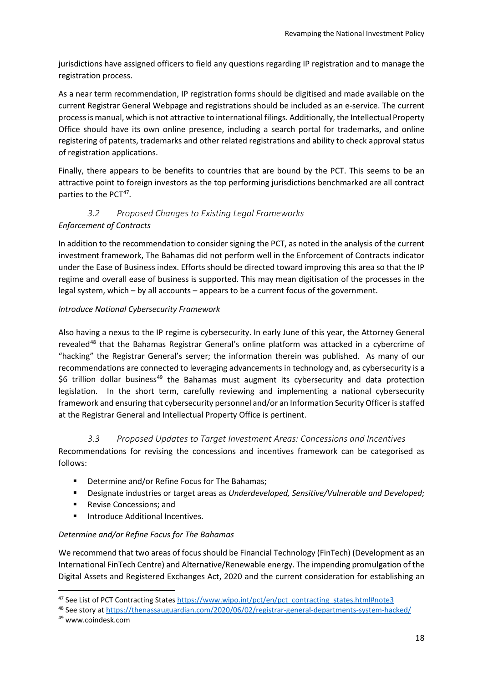jurisdictions have assigned officers to field any questions regarding IP registration and to manage the registration process.

As a near term recommendation, IP registration forms should be digitised and made available on the current Registrar General Webpage and registrations should be included as an e-service. The current process is manual, which is not attractive to international filings. Additionally, the Intellectual Property Office should have its own online presence, including a search portal for trademarks, and online registering of patents, trademarks and other related registrations and ability to check approval status of registration applications.

Finally, there appears to be benefits to countries that are bound by the PCT. This seems to be an attractive point to foreign investors as the top performing jurisdictions benchmarked are all contract parties to the PCT<sup>[47](#page-17-2)</sup>.

## <span id="page-17-0"></span>*3.2 Proposed Changes to Existing Legal Frameworks Enforcement of Contracts*

In addition to the recommendation to consider signing the PCT, as noted in the analysis of the current investment framework, The Bahamas did not perform well in the Enforcement of Contracts indicator under the Ease of Business index. Efforts should be directed toward improving this area so that the IP regime and overall ease of business is supported. This may mean digitisation of the processes in the legal system, which – by all accounts – appears to be a current focus of the government.

## *Introduce National Cybersecurity Framework*

Also having a nexus to the IP regime is cybersecurity. In early June of this year, the Attorney General revealed<sup>[48](#page-17-3)</sup> that the Bahamas Registrar General's online platform was attacked in a cybercrime of "hacking" the Registrar General's server; the information therein was published. As many of our recommendations are connected to leveraging advancements in technology and, as cybersecurity is a \$6 trillion dollar business<sup>[49](#page-17-4)</sup> the Bahamas must augment its cybersecurity and data protection legislation. In the short term, carefully reviewing and implementing a national cybersecurity framework and ensuring that cybersecurity personnel and/or an Information Security Officer is staffed at the Registrar General and Intellectual Property Office is pertinent.

## *3.3 Proposed Updates to Target Investment Areas: Concessions and Incentives*

<span id="page-17-1"></span>Recommendations for revising the concessions and incentives framework can be categorised as follows:

- **•** Determine and/or Refine Focus for The Bahamas;
- Designate industries or target areas as *Underdeveloped, Sensitive/Vulnerable and Developed;*
- Revise Concessions: and
- **Introduce Additional Incentives.**

## *Determine and/or Refine Focus for The Bahamas*

We recommend that two areas of focus should be Financial Technology (FinTech) (Development as an International FinTech Centre) and Alternative/Renewable energy. The impending promulgation of the Digital Assets and Registered Exchanges Act, 2020 and the current consideration for establishing an

<span id="page-17-2"></span><sup>47</sup> See List of PCT Contracting State[s https://www.wipo.int/pct/en/pct\\_contracting\\_states.html#note3](https://www.wipo.int/pct/en/pct_contracting_states.html#note3)

<span id="page-17-3"></span><sup>48</sup> See story at<https://thenassauguardian.com/2020/06/02/registrar-general-departments-system-hacked/>

<span id="page-17-4"></span><sup>49</sup> www.coindesk.com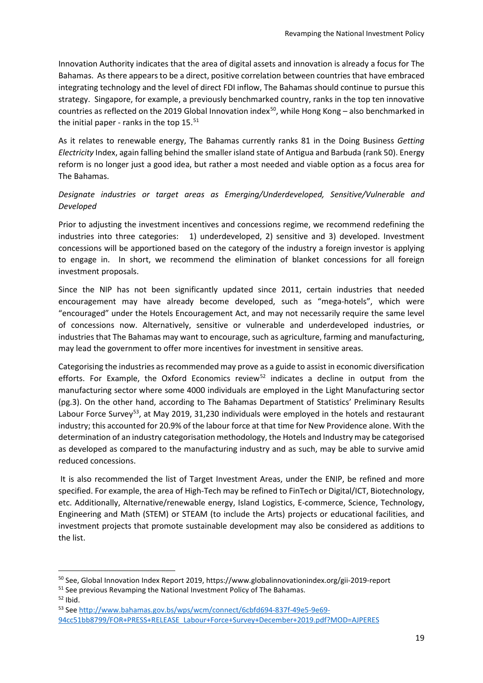Innovation Authority indicates that the area of digital assets and innovation is already a focus for The Bahamas. As there appears to be a direct, positive correlation between countries that have embraced integrating technology and the level of direct FDI inflow, The Bahamas should continue to pursue this strategy. Singapore, for example, a previously benchmarked country, ranks in the top ten innovative countries as reflected on the 2019 Global Innovation index<sup>[50](#page-18-0)</sup>, while Hong Kong – also benchmarked in the initial paper - ranks in the top  $15^{51}$  $15^{51}$  $15^{51}$ 

As it relates to renewable energy, The Bahamas currently ranks 81 in the Doing Business *Getting Electricity* Index, again falling behind the smaller island state of Antigua and Barbuda (rank 50). Energy reform is no longer just a good idea, but rather a most needed and viable option as a focus area for The Bahamas.

## *Designate industries or target areas as Emerging/Underdeveloped, Sensitive/Vulnerable and Developed*

Prior to adjusting the investment incentives and concessions regime, we recommend redefining the industries into three categories: 1) underdeveloped, 2) sensitive and 3) developed. Investment concessions will be apportioned based on the category of the industry a foreign investor is applying to engage in. In short, we recommend the elimination of blanket concessions for all foreign investment proposals.

Since the NIP has not been significantly updated since 2011, certain industries that needed encouragement may have already become developed, such as "mega-hotels", which were "encouraged" under the Hotels Encouragement Act, and may not necessarily require the same level of concessions now. Alternatively, sensitive or vulnerable and underdeveloped industries, or industries that The Bahamas may want to encourage, such as agriculture, farming and manufacturing, may lead the government to offer more incentives for investment in sensitive areas.

Categorising the industries as recommended may prove as a guide to assist in economic diversification efforts. For Example, the Oxford Economics review<sup>[52](#page-18-2)</sup> indicates a decline in output from the manufacturing sector where some 4000 individuals are employed in the Light Manufacturing sector (pg.3). On the other hand, according to The Bahamas Department of Statistics' Preliminary Results Labour Force Survey<sup>53</sup>, at May 2019, 31,230 individuals were employed in the hotels and restaurant industry; this accounted for 20.9% of the labour force at that time for New Providence alone. With the determination of an industry categorisation methodology, the Hotels and Industry may be categorised as developed as compared to the manufacturing industry and as such, may be able to survive amid reduced concessions.

It is also recommended the list of Target Investment Areas, under the ENIP, be refined and more specified. For example, the area of High-Tech may be refined to FinTech or Digital/ICT, Biotechnology, etc. Additionally, Alternative/renewable energy, Island Logistics, E-commerce, Science, Technology, Engineering and Math (STEM) or STEAM (to include the Arts) projects or educational facilities, and investment projects that promote sustainable development may also be considered as additions to the list.

<span id="page-18-0"></span><sup>&</sup>lt;sup>50</sup> See, Global Innovation Index Report 2019, https://www.globalinnovationindex.org/gii-2019-report

<span id="page-18-1"></span> $51$  See previous Revamping the National Investment Policy of The Bahamas.<br> $52$  Ibid.

<span id="page-18-2"></span>

<span id="page-18-3"></span><sup>53</sup> Se[e http://www.bahamas.gov.bs/wps/wcm/connect/6cbfd694-837f-49e5-9e69-](http://www.bahamas.gov.bs/wps/wcm/connect/6cbfd694-837f-49e5-9e69-94cc51bb8799/FOR+PRESS+RELEASE_Labour+Force+Survey+December+2019.pdf?MOD=AJPERES) [94cc51bb8799/FOR+PRESS+RELEASE\\_Labour+Force+Survey+December+2019.pdf?MOD=AJPERES](http://www.bahamas.gov.bs/wps/wcm/connect/6cbfd694-837f-49e5-9e69-94cc51bb8799/FOR+PRESS+RELEASE_Labour+Force+Survey+December+2019.pdf?MOD=AJPERES)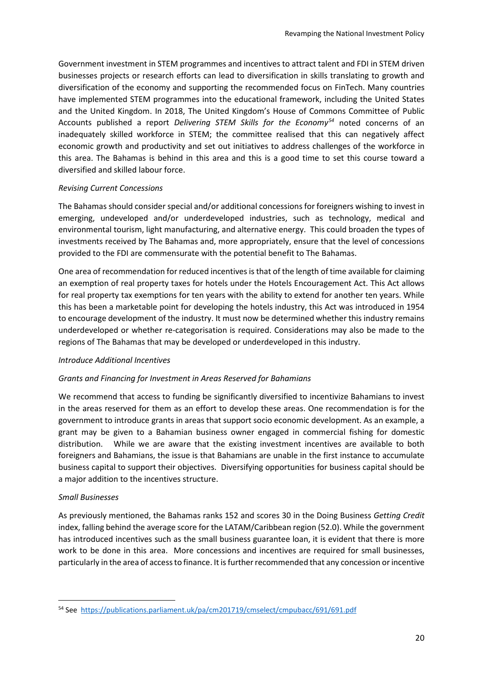Government investment in STEM programmes and incentives to attract talent and FDI in STEM driven businesses projects or research efforts can lead to diversification in skills translating to growth and diversification of the economy and supporting the recommended focus on FinTech. Many countries have implemented STEM programmes into the educational framework, including the United States and the United Kingdom. In 2018, The United Kingdom's House of Commons Committee of Public Accounts published a report *Delivering STEM Skills for the Economy[54](#page-19-0)* noted concerns of an inadequately skilled workforce in STEM; the committee realised that this can negatively affect economic growth and productivity and set out initiatives to address challenges of the workforce in this area. The Bahamas is behind in this area and this is a good time to set this course toward a diversified and skilled labour force.

#### *Revising Current Concessions*

The Bahamas should consider special and/or additional concessions for foreigners wishing to invest in emerging, undeveloped and/or underdeveloped industries, such as technology, medical and environmental tourism, light manufacturing, and alternative energy. This could broaden the types of investments received by The Bahamas and, more appropriately, ensure that the level of concessions provided to the FDI are commensurate with the potential benefit to The Bahamas.

One area of recommendation for reduced incentives is that of the length of time available for claiming an exemption of real property taxes for hotels under the Hotels Encouragement Act. This Act allows for real property tax exemptions for ten years with the ability to extend for another ten years. While this has been a marketable point for developing the hotels industry, this Act was introduced in 1954 to encourage development of the industry. It must now be determined whether this industry remains underdeveloped or whether re-categorisation is required. Considerations may also be made to the regions of The Bahamas that may be developed or underdeveloped in this industry.

#### *Introduce Additional Incentives*

## *Grants and Financing for Investment in Areas Reserved for Bahamians*

We recommend that access to funding be significantly diversified to incentivize Bahamians to invest in the areas reserved for them as an effort to develop these areas. One recommendation is for the government to introduce grants in areas that support socio economic development. As an example, a grant may be given to a Bahamian business owner engaged in commercial fishing for domestic distribution. While we are aware that the existing investment incentives are available to both foreigners and Bahamians, the issue is that Bahamians are unable in the first instance to accumulate business capital to support their objectives. Diversifying opportunities for business capital should be a major addition to the incentives structure.

#### *Small Businesses*

As previously mentioned, the Bahamas ranks 152 and scores 30 in the Doing Business *Getting Credit*  index, falling behind the average score for the LATAM/Caribbean region (52.0). While the government has introduced incentives such as the small business guarantee loan, it is evident that there is more work to be done in this area. More concessions and incentives are required for small businesses, particularly in the area of access to finance. It is further recommended that any concession or incentive

<span id="page-19-0"></span> <sup>54</sup> See <https://publications.parliament.uk/pa/cm201719/cmselect/cmpubacc/691/691.pdf>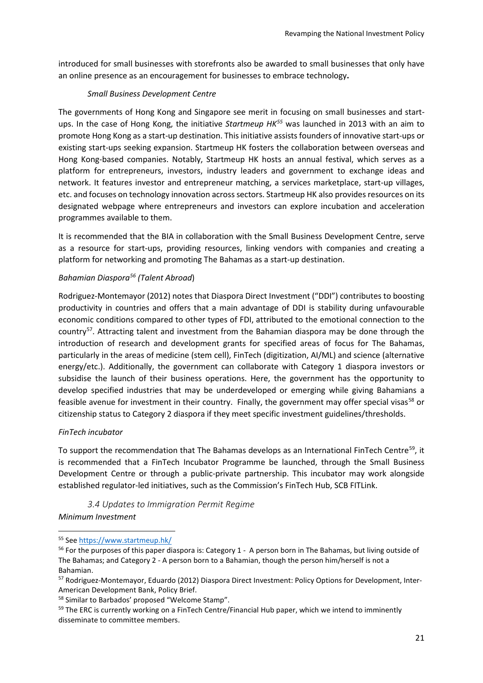introduced for small businesses with storefronts also be awarded to small businesses that only have an online presence as an encouragement for businesses to embrace technology**.**

## *Small Business Development Centre*

The governments of Hong Kong and Singapore see merit in focusing on small businesses and startups. In the case of Hong Kong, the initiative *Startmeup HK[55](#page-20-0)* was launched in 2013 with an aim to promote Hong Kong as a start-up destination. This initiative assists founders of innovative start-ups or existing start-ups seeking expansion. Startmeup HK fosters the collaboration between overseas and Hong Kong-based companies. Notably, Startmeup HK hosts an annual festival, which serves as a platform for entrepreneurs, investors, industry leaders and government to exchange ideas and network. It features investor and entrepreneur matching, a services marketplace, start-up villages, etc. and focuses on technology innovation across sectors. Startmeup HK also provides resources on its designated webpage where entrepreneurs and investors can explore incubation and acceleration programmes available to them.

It is recommended that the BIA in collaboration with the Small Business Development Centre, serve as a resource for start-ups, providing resources, linking vendors with companies and creating a platform for networking and promoting The Bahamas as a start-up destination.

#### *Bahamian Diaspor[a56](#page-20-1) (Talent Abroad*)

Rodriguez-Montemayor (2012) notes that Diaspora Direct Investment ("DDI") contributes to boosting productivity in countries and offers that a main advantage of DDI is stability during unfavourable economic conditions compared to other types of FDI, attributed to the emotional connection to the country<sup>[57](#page-20-2)</sup>. Attracting talent and investment from the Bahamian diaspora may be done through the introduction of research and development grants for specified areas of focus for The Bahamas, particularly in the areas of medicine (stem cell), FinTech (digitization, AI/ML) and science (alternative energy/etc.). Additionally, the government can collaborate with Category 1 diaspora investors or subsidise the launch of their business operations. Here, the government has the opportunity to develop specified industries that may be underdeveloped or emerging while giving Bahamians a feasible avenue for investment in their country. Finally, the government may offer special visas<sup>[58](#page-20-3)</sup> or citizenship status to Category 2 diaspora if they meet specific investment guidelines/thresholds.

#### *FinTech incubator*

To support the recommendation that The Bahamas develops as an International FinTech Centre<sup>59</sup>, it is recommended that a FinTech Incubator Programme be launched, through the Small Business Development Centre or through a public-private partnership. This incubator may work alongside established regulator-led initiatives, such as the Commission's FinTech Hub, SCB FITLink.

*3.4 Updates to Immigration Permit Regime Minimum Investment*

<span id="page-20-0"></span> <sup>55</sup> Se[e https://www.startmeup.hk/](https://www.startmeup.hk/)

<span id="page-20-1"></span><sup>&</sup>lt;sup>56</sup> For the purposes of this paper diaspora is: Category 1 - A person born in The Bahamas, but living outside of The Bahamas; and Category 2 - A person born to a Bahamian, though the person him/herself is not a Bahamian.

<span id="page-20-2"></span><sup>57</sup> Rodriguez-Montemayor, Eduardo (2012) Diaspora Direct Investment: Policy Options for Development, Inter-American Development Bank, Policy Brief.

<span id="page-20-3"></span><sup>58</sup> Similar to Barbados' proposed "Welcome Stamp".

<span id="page-20-4"></span><sup>&</sup>lt;sup>59</sup> The ERC is currently working on a FinTech Centre/Financial Hub paper, which we intend to imminently disseminate to committee members.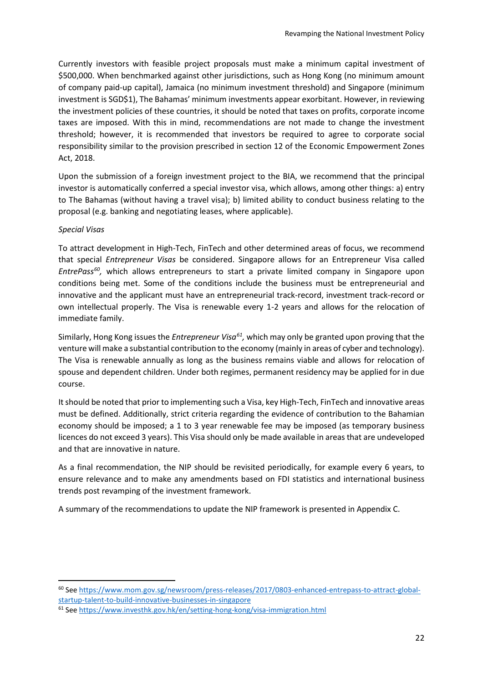Currently investors with feasible project proposals must make a minimum capital investment of \$500,000. When benchmarked against other jurisdictions, such as Hong Kong (no minimum amount of company paid-up capital), Jamaica (no minimum investment threshold) and Singapore (minimum investment is SGD\$1), The Bahamas' minimum investments appear exorbitant. However, in reviewing the investment policies of these countries, it should be noted that taxes on profits, corporate income taxes are imposed. With this in mind, recommendations are not made to change the investment threshold; however, it is recommended that investors be required to agree to corporate social responsibility similar to the provision prescribed in section 12 of the Economic Empowerment Zones Act, 2018.

Upon the submission of a foreign investment project to the BIA, we recommend that the principal investor is automatically conferred a special investor visa, which allows, among other things: a) entry to The Bahamas (without having a travel visa); b) limited ability to conduct business relating to the proposal (e.g. banking and negotiating leases, where applicable).

#### *Special Visas*

To attract development in High-Tech, FinTech and other determined areas of focus, we recommend that special *Entrepreneur Visas* be considered. Singapore allows for an Entrepreneur Visa called *EntrePass[60](#page-21-0),* which allows entrepreneurs to start a private limited company in Singapore upon conditions being met. Some of the conditions include the business must be entrepreneurial and innovative and the applicant must have an entrepreneurial track-record, investment track-record or own intellectual properly. The Visa is renewable every 1-2 years and allows for the relocation of immediate family.

Similarly, Hong Kong issues the *Entrepreneur Visa[61,](#page-21-1)* which may only be granted upon proving that the venture will make a substantial contribution to the economy (mainly in areas of cyber and technology). The Visa is renewable annually as long as the business remains viable and allows for relocation of spouse and dependent children. Under both regimes, permanent residency may be applied for in due course.

It should be noted that prior to implementing such a Visa, key High-Tech, FinTech and innovative areas must be defined. Additionally, strict criteria regarding the evidence of contribution to the Bahamian economy should be imposed; a 1 to 3 year renewable fee may be imposed (as temporary business licences do not exceed 3 years). This Visa should only be made available in areas that are undeveloped and that are innovative in nature.

As a final recommendation, the NIP should be revisited periodically, for example every 6 years, to ensure relevance and to make any amendments based on FDI statistics and international business trends post revamping of the investment framework.

A summary of the recommendations to update the NIP framework is presented in Appendix C.

<span id="page-21-0"></span> <sup>60</sup> Se[e https://www.mom.gov.sg/newsroom/press-releases/2017/0803-enhanced-entrepass-to-attract-global](https://www.mom.gov.sg/newsroom/press-releases/2017/0803-enhanced-entrepass-to-attract-global-startup-talent-to-build-innovative-businesses-in-singapore)[startup-talent-to-build-innovative-businesses-in-singapore](https://www.mom.gov.sg/newsroom/press-releases/2017/0803-enhanced-entrepass-to-attract-global-startup-talent-to-build-innovative-businesses-in-singapore)

<span id="page-21-1"></span><sup>61</sup> Se[e https://www.investhk.gov.hk/en/setting-hong-kong/visa-immigration.html](https://www.investhk.gov.hk/en/setting-hong-kong/visa-immigration.html)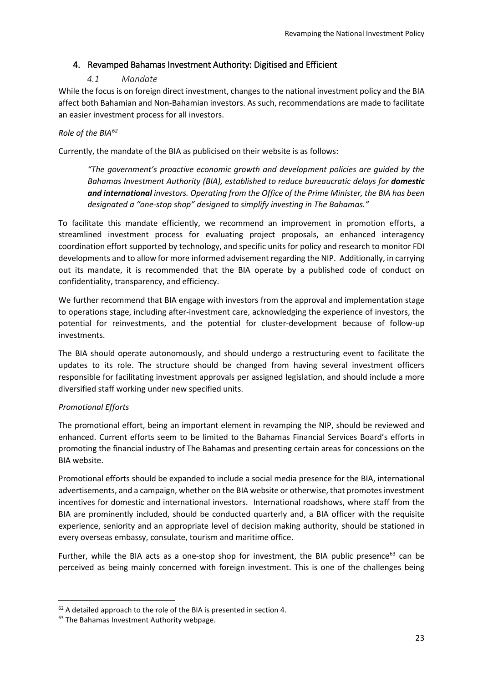## <span id="page-22-0"></span>4. Revamped Bahamas Investment Authority: Digitised and Efficient

## *4.1 Mandate*

<span id="page-22-1"></span>While the focus is on foreign direct investment, changes to the national investment policy and the BIA affect both Bahamian and Non-Bahamian investors. As such, recommendations are made to facilitate an easier investment process for all investors.

## *Role of the BIA[62](#page-22-2)*

Currently, the mandate of the BIA as publicised on their website is as follows:

*"The government's proactive economic growth and development policies are guided by the Bahamas Investment Authority (BIA), established to reduce bureaucratic delays for domestic and international investors. Operating from the Office of the Prime Minister, the BIA has been designated a "one-stop shop" designed to simplify investing in The Bahamas."*

To facilitate this mandate efficiently, we recommend an improvement in promotion efforts, a streamlined investment process for evaluating project proposals, an enhanced interagency coordination effort supported by technology, and specific units for policy and research to monitor FDI developments and to allow for more informed advisement regarding the NIP. Additionally, in carrying out its mandate, it is recommended that the BIA operate by a published code of conduct on confidentiality, transparency, and efficiency.

We further recommend that BIA engage with investors from the approval and implementation stage to operations stage, including after-investment care, acknowledging the experience of investors, the potential for reinvestments, and the potential for cluster-development because of follow-up investments.

The BIA should operate autonomously, and should undergo a restructuring event to facilitate the updates to its role. The structure should be changed from having several investment officers responsible for facilitating investment approvals per assigned legislation, and should include a more diversified staff working under new specified units.

## *Promotional Efforts*

The promotional effort, being an important element in revamping the NIP, should be reviewed and enhanced. Current efforts seem to be limited to the Bahamas Financial Services Board's efforts in promoting the financial industry of The Bahamas and presenting certain areas for concessions on the BIA website.

Promotional efforts should be expanded to include a social media presence for the BIA, international advertisements, and a campaign, whether on the BIA website or otherwise, that promotes investment incentives for domestic and international investors. International roadshows, where staff from the BIA are prominently included, should be conducted quarterly and, a BIA officer with the requisite experience, seniority and an appropriate level of decision making authority, should be stationed in every overseas embassy, consulate, tourism and maritime office.

Further, while the BIA acts as a one-stop shop for investment, the BIA public presence<sup>[63](#page-22-3)</sup> can be perceived as being mainly concerned with foreign investment. This is one of the challenges being

<span id="page-22-2"></span><sup>&</sup>lt;sup>62</sup> A detailed approach to the role of the BIA is presented in section 4.

<span id="page-22-3"></span><sup>&</sup>lt;sup>63</sup> The Bahamas Investment Authority webpage.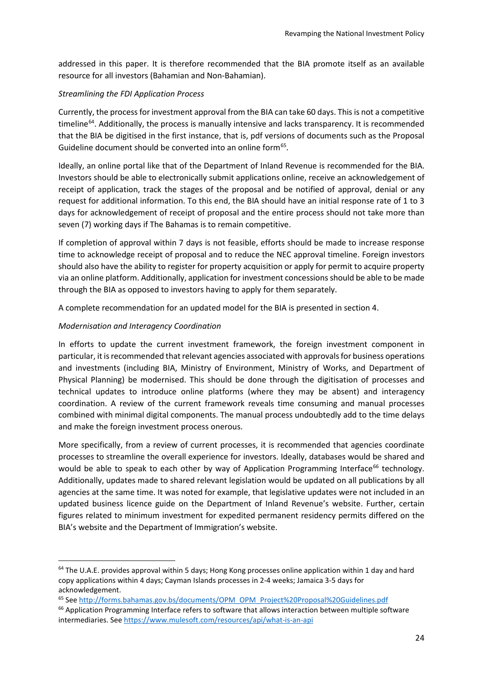addressed in this paper. It is therefore recommended that the BIA promote itself as an available resource for all investors (Bahamian and Non-Bahamian).

## *Streamlining the FDI Application Process*

Currently, the process for investment approval from the BIA can take 60 days. This is not a competitive timeline<sup>[64](#page-23-0)</sup>. Additionally, the process is manually intensive and lacks transparency. It is recommended that the BIA be digitised in the first instance, that is, pdf versions of documents such as the Proposal Guideline document should be converted into an online form<sup>[65](#page-23-1)</sup>.

Ideally, an online portal like that of the Department of Inland Revenue is recommended for the BIA. Investors should be able to electronically submit applications online, receive an acknowledgement of receipt of application, track the stages of the proposal and be notified of approval, denial or any request for additional information. To this end, the BIA should have an initial response rate of 1 to 3 days for acknowledgement of receipt of proposal and the entire process should not take more than seven (7) working days if The Bahamas is to remain competitive.

If completion of approval within 7 days is not feasible, efforts should be made to increase response time to acknowledge receipt of proposal and to reduce the NEC approval timeline. Foreign investors should also have the ability to register for property acquisition or apply for permit to acquire property via an online platform. Additionally, application for investment concessions should be able to be made through the BIA as opposed to investors having to apply for them separately.

A complete recommendation for an updated model for the BIA is presented in section 4.

## *Modernisation and Interagency Coordination*

In efforts to update the current investment framework, the foreign investment component in particular, it is recommended that relevant agencies associated with approvals for business operations and investments (including BIA, Ministry of Environment, Ministry of Works, and Department of Physical Planning) be modernised. This should be done through the digitisation of processes and technical updates to introduce online platforms (where they may be absent) and interagency coordination. A review of the current framework reveals time consuming and manual processes combined with minimal digital components. The manual process undoubtedly add to the time delays and make the foreign investment process onerous.

More specifically, from a review of current processes, it is recommended that agencies coordinate processes to streamline the overall experience for investors. Ideally, databases would be shared and would be able to speak to each other by way of Application Programming Interface<sup>[66](#page-23-2)</sup> technology. Additionally, updates made to shared relevant legislation would be updated on all publications by all agencies at the same time. It was noted for example, that legislative updates were not included in an updated business licence guide on the Department of Inland Revenue's website. Further, certain figures related to minimum investment for expedited permanent residency permits differed on the BIA's website and the Department of Immigration's website.

<span id="page-23-0"></span> $64$  The U.A.E. provides approval within 5 days; Hong Kong processes online application within 1 day and hard copy applications within 4 days; Cayman Islands processes in 2-4 weeks; Jamaica 3-5 days for acknowledgement.

<span id="page-23-1"></span><sup>65</sup> Se[e http://forms.bahamas.gov.bs/documents/OPM\\_OPM\\_Project%20Proposal%20Guidelines.pdf](http://forms.bahamas.gov.bs/documents/OPM_OPM_Project%20Proposal%20Guidelines.pdf)

<span id="page-23-2"></span><sup>&</sup>lt;sup>66</sup> Application Programming Interface refers to software that allows interaction between multiple software intermediaries. See<https://www.mulesoft.com/resources/api/what-is-an-api>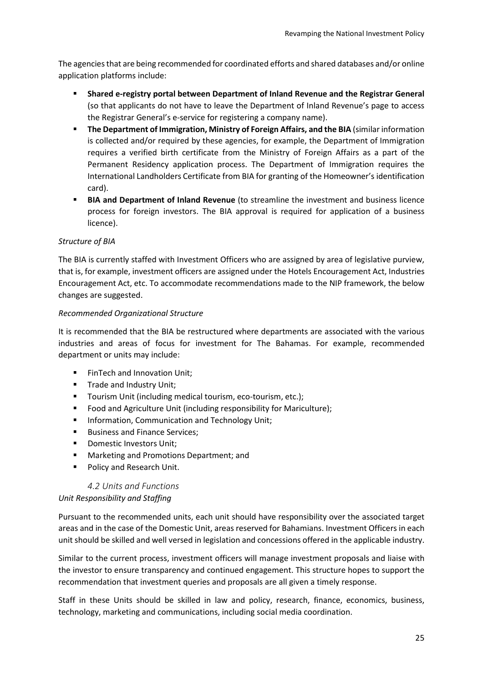The agencies that are being recommended for coordinated efforts and shared databases and/or online application platforms include:

- **Shared e-registry portal between Department of Inland Revenue and the Registrar General** (so that applicants do not have to leave the Department of Inland Revenue's page to access the Registrar General's e-service for registering a company name).
- **The Department of Immigration, Ministry of Foreign Affairs, and the BIA** (similar information is collected and/or required by these agencies, for example, the Department of Immigration requires a verified birth certificate from the Ministry of Foreign Affairs as a part of the Permanent Residency application process. The Department of Immigration requires the International Landholders Certificate from BIA for granting of the Homeowner's identification card).
- **BIA and Department of Inland Revenue** (to streamline the investment and business licence process for foreign investors. The BIA approval is required for application of a business licence).

#### *Structure of BIA*

The BIA is currently staffed with Investment Officers who are assigned by area of legislative purview, that is, for example, investment officers are assigned under the Hotels Encouragement Act, Industries Encouragement Act, etc. To accommodate recommendations made to the NIP framework, the below changes are suggested.

#### *Recommended Organizational Structure*

It is recommended that the BIA be restructured where departments are associated with the various industries and areas of focus for investment for The Bahamas. For example, recommended department or units may include:

- **FinTech and Innovation Unit:**
- **Trade and Industry Unit;**
- **T** Tourism Unit (including medical tourism, eco-tourism, etc.);
- **Food and Agriculture Unit (including responsibility for Mariculture);**
- **Information, Communication and Technology Unit;**
- **Business and Finance Services:**
- **Domestic Investors Unit:**
- Marketing and Promotions Department; and
- Policy and Research Unit.

## *4.2 Units and Functions*

#### <span id="page-24-0"></span>*Unit Responsibility and Staffing*

Pursuant to the recommended units, each unit should have responsibility over the associated target areas and in the case of the Domestic Unit, areas reserved for Bahamians. Investment Officers in each unit should be skilled and well versed in legislation and concessions offered in the applicable industry.

Similar to the current process, investment officers will manage investment proposals and liaise with the investor to ensure transparency and continued engagement. This structure hopes to support the recommendation that investment queries and proposals are all given a timely response.

Staff in these Units should be skilled in law and policy, research, finance, economics, business, technology, marketing and communications, including social media coordination.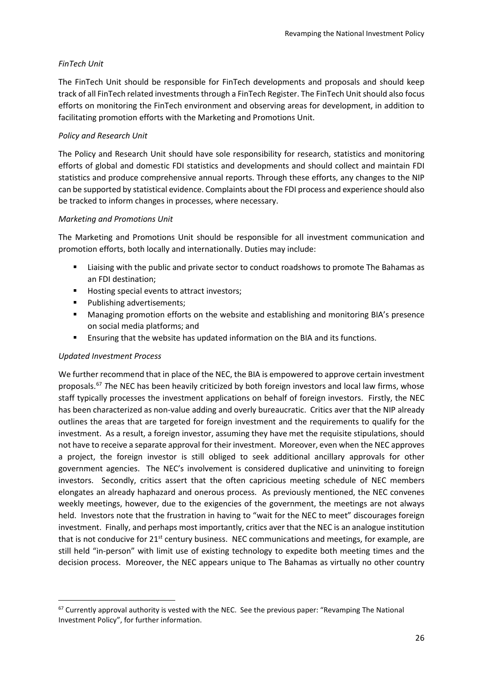#### *FinTech Unit*

The FinTech Unit should be responsible for FinTech developments and proposals and should keep track of all FinTech related investments through a FinTech Register. The FinTech Unit should also focus efforts on monitoring the FinTech environment and observing areas for development, in addition to facilitating promotion efforts with the Marketing and Promotions Unit.

#### *Policy and Research Unit*

The Policy and Research Unit should have sole responsibility for research, statistics and monitoring efforts of global and domestic FDI statistics and developments and should collect and maintain FDI statistics and produce comprehensive annual reports. Through these efforts, any changes to the NIP can be supported by statistical evidence. Complaints about the FDI process and experience should also be tracked to inform changes in processes, where necessary.

#### *Marketing and Promotions Unit*

The Marketing and Promotions Unit should be responsible for all investment communication and promotion efforts, both locally and internationally. Duties may include:

- Liaising with the public and private sector to conduct roadshows to promote The Bahamas as an FDI destination;
- Hosting special events to attract investors;
- **Publishing advertisements;**
- Managing promotion efforts on the website and establishing and monitoring BIA's presence on social media platforms; and
- **Ensuring that the website has updated information on the BIA and its functions.**

## *Updated Investment Process*

We further recommend that in place of the NEC, the BIA is empowered to approve certain investment proposals.[67](#page-25-0) *T*he NEC has been heavily criticized by both foreign investors and local law firms, whose staff typically processes the investment applications on behalf of foreign investors. Firstly, the NEC has been characterized as non-value adding and overly bureaucratic. Critics aver that the NIP already outlines the areas that are targeted for foreign investment and the requirements to qualify for the investment. As a result, a foreign investor, assuming they have met the requisite stipulations, should not have to receive a separate approval for their investment. Moreover, even when the NEC approves a project, the foreign investor is still obliged to seek additional ancillary approvals for other government agencies. The NEC's involvement is considered duplicative and uninviting to foreign investors. Secondly, critics assert that the often capricious meeting schedule of NEC members elongates an already haphazard and onerous process. As previously mentioned, the NEC convenes weekly meetings, however, due to the exigencies of the government, the meetings are not always held. Investors note that the frustration in having to "wait for the NEC to meet" discourages foreign investment. Finally, and perhaps most importantly, critics aver that the NEC is an analogue institution that is not conducive for 21<sup>st</sup> century business. NEC communications and meetings, for example, are still held "in-person" with limit use of existing technology to expedite both meeting times and the decision process. Moreover, the NEC appears unique to The Bahamas as virtually no other country

<span id="page-25-0"></span><sup>&</sup>lt;sup>67</sup> Currently approval authority is vested with the NEC. See the previous paper: "Revamping The National Investment Policy", for further information.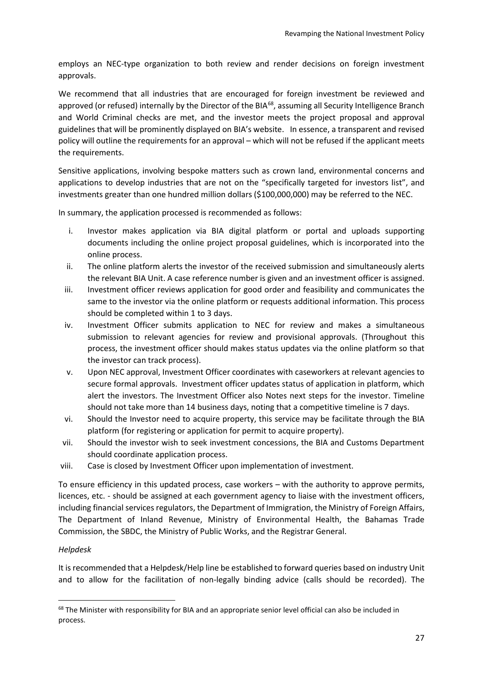employs an NEC-type organization to both review and render decisions on foreign investment approvals.

We recommend that all industries that are encouraged for foreign investment be reviewed and approved (or refused) internally by the Director of the BIA<sup>[68](#page-26-0)</sup>, assuming all Security Intelligence Branch and World Criminal checks are met, and the investor meets the project proposal and approval guidelines that will be prominently displayed on BIA's website. In essence, a transparent and revised policy will outline the requirements for an approval – which will not be refused if the applicant meets the requirements.

Sensitive applications, involving bespoke matters such as crown land, environmental concerns and applications to develop industries that are not on the "specifically targeted for investors list", and investments greater than one hundred million dollars (\$100,000,000) may be referred to the NEC.

In summary, the application processed is recommended as follows:

- i. Investor makes application via BIA digital platform or portal and uploads supporting documents including the online project proposal guidelines, which is incorporated into the online process.
- ii. The online platform alerts the investor of the received submission and simultaneously alerts the relevant BIA Unit. A case reference number is given and an investment officer is assigned.
- iii. Investment officer reviews application for good order and feasibility and communicates the same to the investor via the online platform or requests additional information. This process should be completed within 1 to 3 days.
- iv. Investment Officer submits application to NEC for review and makes a simultaneous submission to relevant agencies for review and provisional approvals. (Throughout this process, the investment officer should makes status updates via the online platform so that the investor can track process).
- v. Upon NEC approval, Investment Officer coordinates with caseworkers at relevant agencies to secure formal approvals. Investment officer updates status of application in platform, which alert the investors. The Investment Officer also Notes next steps for the investor. Timeline should not take more than 14 business days, noting that a competitive timeline is 7 days.
- vi. Should the Investor need to acquire property, this service may be facilitate through the BIA platform (for registering or application for permit to acquire property).
- vii. Should the investor wish to seek investment concessions, the BIA and Customs Department should coordinate application process.
- viii. Case is closed by Investment Officer upon implementation of investment.

To ensure efficiency in this updated process, case workers – with the authority to approve permits, licences, etc. - should be assigned at each government agency to liaise with the investment officers, including financial services regulators, the Department of Immigration, the Ministry of Foreign Affairs, The Department of Inland Revenue, Ministry of Environmental Health, the Bahamas Trade Commission, the SBDC, the Ministry of Public Works, and the Registrar General.

## *Helpdesk*

It is recommended that a Helpdesk/Help line be established to forward queries based on industry Unit and to allow for the facilitation of non-legally binding advice (calls should be recorded). The

<span id="page-26-0"></span><sup>&</sup>lt;sup>68</sup> The Minister with responsibility for BIA and an appropriate senior level official can also be included in process.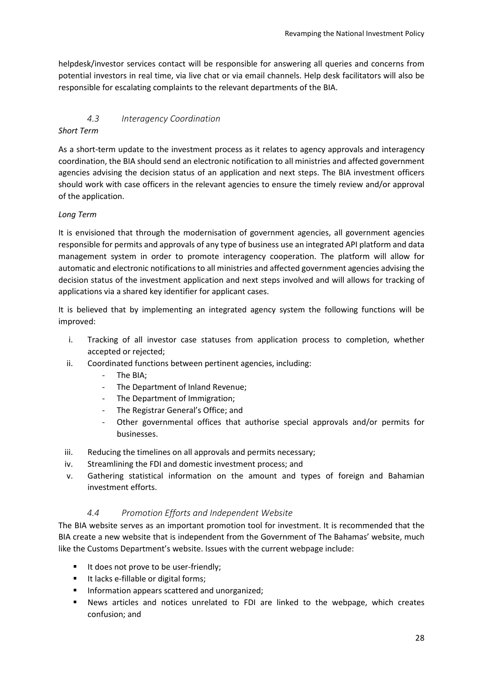helpdesk/investor services contact will be responsible for answering all queries and concerns from potential investors in real time, via live chat or via email channels. Help desk facilitators will also be responsible for escalating complaints to the relevant departments of the BIA.

## *4.3 Interagency Coordination*

## <span id="page-27-0"></span>*Short Term*

As a short-term update to the investment process as it relates to agency approvals and interagency coordination, the BIA should send an electronic notification to all ministries and affected government agencies advising the decision status of an application and next steps. The BIA investment officers should work with case officers in the relevant agencies to ensure the timely review and/or approval of the application.

## *Long Term*

It is envisioned that through the modernisation of government agencies, all government agencies responsible for permits and approvals of any type of business use an integrated API platform and data management system in order to promote interagency cooperation. The platform will allow for automatic and electronic notifications to all ministries and affected government agencies advising the decision status of the investment application and next steps involved and will allows for tracking of applications via a shared key identifier for applicant cases.

It is believed that by implementing an integrated agency system the following functions will be improved:

- i. Tracking of all investor case statuses from application process to completion, whether accepted or rejected;
- ii. Coordinated functions between pertinent agencies, including:
	- The BIA;
	- The Department of Inland Revenue;
	- The Department of Immigration;
	- The Registrar General's Office; and
	- Other governmental offices that authorise special approvals and/or permits for businesses.
- iii. Reducing the timelines on all approvals and permits necessary;
- iv. Streamlining the FDI and domestic investment process; and
- v. Gathering statistical information on the amount and types of foreign and Bahamian investment efforts.

## *4.4 Promotion Efforts and Independent Website*

<span id="page-27-1"></span>The BIA website serves as an important promotion tool for investment. It is recommended that the BIA create a new website that is independent from the Government of The Bahamas' website, much like the Customs Department's website. Issues with the current webpage include:

- It does not prove to be user-friendly;
- It lacks e-fillable or digital forms;
- **Information appears scattered and unorganized;**
- News articles and notices unrelated to FDI are linked to the webpage, which creates confusion; and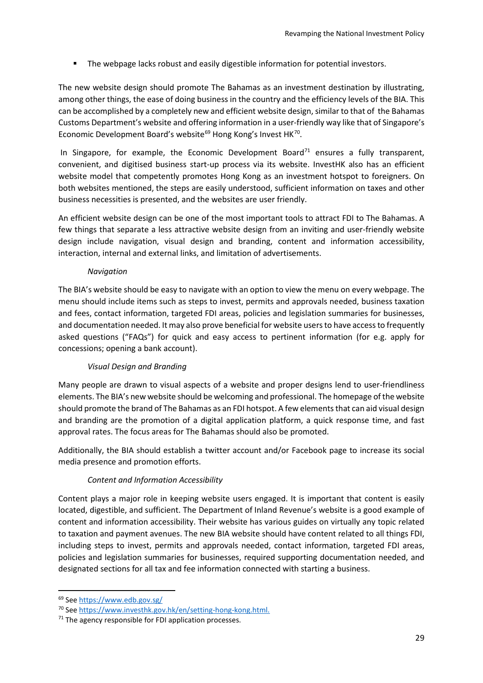**The webpage lacks robust and easily digestible information for potential investors.** 

The new website design should promote The Bahamas as an investment destination by illustrating, among other things, the ease of doing business in the country and the efficiency levels of the BIA. This can be accomplished by a completely new and efficient website design, similar to that of the Bahamas Customs Department's website and offering information in a user-friendly way like that of Singapore's Economic Development Board's website<sup>[69](#page-28-0)</sup> Hong Kong's Invest HK<sup>70</sup>.

In Singapore, for example, the Economic Development Board<sup>71</sup> ensures a fully transparent, convenient, and digitised business start-up process via its website. InvestHK also has an efficient website model that competently promotes Hong Kong as an investment hotspot to foreigners. On both websites mentioned, the steps are easily understood, sufficient information on taxes and other business necessities is presented, and the websites are user friendly.

An efficient website design can be one of the most important tools to attract FDI to The Bahamas. A few things that separate a less attractive website design from an inviting and user-friendly website design include navigation, visual design and branding, content and information accessibility, interaction, internal and external links, and limitation of advertisements.

## *Navigation*

The BIA's website should be easy to navigate with an option to view the menu on every webpage. The menu should include items such as steps to invest, permits and approvals needed, business taxation and fees, contact information, targeted FDI areas, policies and legislation summaries for businesses, and documentation needed. It may also prove beneficial for website users to have access to frequently asked questions ("FAQs") for quick and easy access to pertinent information (for e.g. apply for concessions; opening a bank account).

## *Visual Design and Branding*

Many people are drawn to visual aspects of a website and proper designs lend to user-friendliness elements. The BIA's new website should be welcoming and professional. The homepage of the website should promote the brand of The Bahamas as an FDI hotspot. A few elements that can aid visual design and branding are the promotion of a digital application platform, a quick response time, and fast approval rates. The focus areas for The Bahamas should also be promoted.

Additionally, the BIA should establish a twitter account and/or Facebook page to increase its social media presence and promotion efforts.

## *Content and Information Accessibility*

Content plays a major role in keeping website users engaged. It is important that content is easily located, digestible, and sufficient. The Department of Inland Revenue's website is a good example of content and information accessibility. Their website has various guides on virtually any topic related to taxation and payment avenues. The new BIA website should have content related to all things FDI, including steps to invest, permits and approvals needed, contact information, targeted FDI areas, policies and legislation summaries for businesses, required supporting documentation needed, and designated sections for all tax and fee information connected with starting a business.

<span id="page-28-0"></span> <sup>69</sup> Se[e https://www.edb.gov.sg/](https://www.edb.gov.sg/)

<span id="page-28-1"></span><sup>70</sup> See [https://www.investhk.gov.hk/en/setting-hong-kong.html.](https://www.investhk.gov.hk/en/setting-hong-kong.html)

<span id="page-28-2"></span> $71$  The agency responsible for FDI application processes.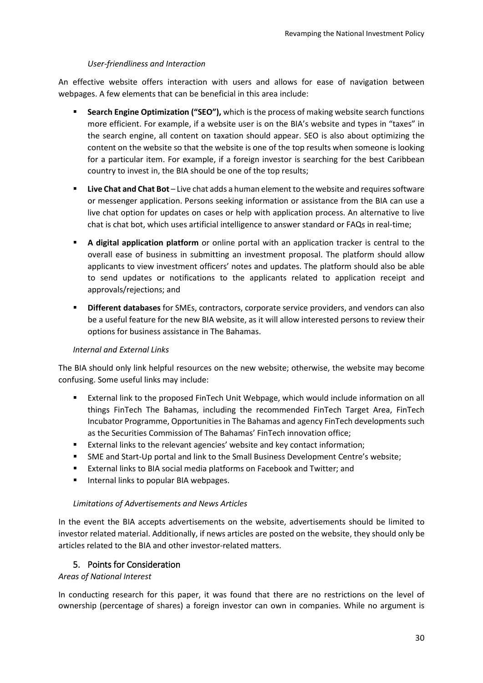#### *User-friendliness and Interaction*

An effective website offers interaction with users and allows for ease of navigation between webpages. A few elements that can be beneficial in this area include:

- **Search Engine Optimization ("SEO"),** which is the process of making website search functions more efficient. For example, if a website user is on the BIA's website and types in "taxes" in the search engine, all content on taxation should appear. SEO is also about optimizing the content on the website so that the website is one of the top results when someone is looking for a particular item. For example, if a foreign investor is searching for the best Caribbean country to invest in, the BIA should be one of the top results;
- **Live Chat and Chat Bot** Live chat adds a human element to the website and requires software or messenger application. Persons seeking information or assistance from the BIA can use a live chat option for updates on cases or help with application process. An alternative to live chat is chat bot, which uses artificial intelligence to answer standard or FAQs in real-time;
- **A digital application platform** or online portal with an application tracker is central to the overall ease of business in submitting an investment proposal. The platform should allow applicants to view investment officers' notes and updates. The platform should also be able to send updates or notifications to the applicants related to application receipt and approvals/rejections; and
- **Different databases** for SMEs, contractors, corporate service providers, and vendors can also be a useful feature for the new BIA website, as it will allow interested persons to review their options for business assistance in The Bahamas.

## *Internal and External Links*

The BIA should only link helpful resources on the new website; otherwise, the website may become confusing. Some useful links may include:

- External link to the proposed FinTech Unit Webpage, which would include information on all things FinTech The Bahamas, including the recommended FinTech Target Area, FinTech Incubator Programme, Opportunities in The Bahamas and agency FinTech developments such as the Securities Commission of The Bahamas' FinTech innovation office;
- **External links to the relevant agencies' website and key contact information;**
- SME and Start-Up portal and link to the Small Business Development Centre's website;
- **External links to BIA social media platforms on Facebook and Twitter; and**
- **Internal links to popular BIA webpages.**

## *Limitations of Advertisements and News Articles*

In the event the BIA accepts advertisements on the website, advertisements should be limited to investor related material. Additionally, if news articles are posted on the website, they should only be articles related to the BIA and other investor-related matters.

## 5. Points for Consideration

## <span id="page-29-0"></span>*Areas of National Interest*

In conducting research for this paper, it was found that there are no restrictions on the level of ownership (percentage of shares) a foreign investor can own in companies. While no argument is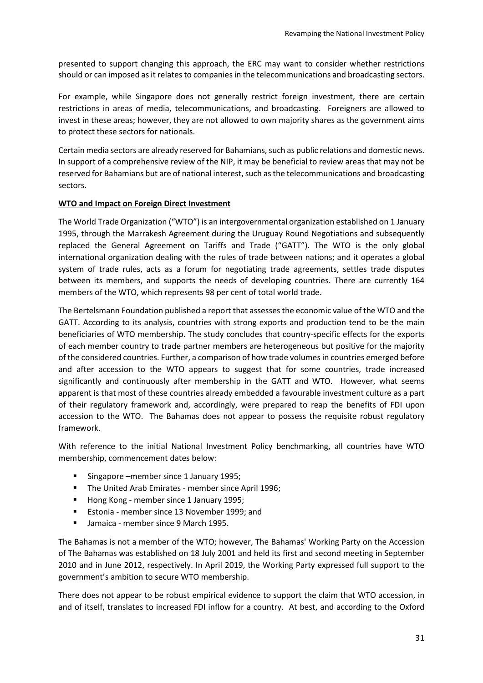presented to support changing this approach, the ERC may want to consider whether restrictions should or can imposed as it relates to companies in the telecommunications and broadcasting sectors.

For example, while Singapore does not generally restrict foreign investment, there are certain restrictions in areas of media, telecommunications, and broadcasting. Foreigners are allowed to invest in these areas; however, they are not allowed to own majority shares as the government aims to protect these sectors for nationals.

Certain media sectors are already reserved for Bahamians, such as public relations and domestic news. In support of a comprehensive review of the NIP, it may be beneficial to review areas that may not be reserved for Bahamians but are of national interest, such as the telecommunications and broadcasting sectors.

#### **WTO and Impact on Foreign Direct Investment**

The World Trade Organization ("WTO") is an intergovernmental organization established on 1 January 1995, through the Marrakesh Agreement during the Uruguay Round Negotiations and subsequently replaced the General Agreement on Tariffs and Trade ("GATT"). The WTO is the only global international organization dealing with the rules of trade between nations; and it operates a global system of trade rules, acts as a forum for negotiating trade agreements, settles trade disputes between its members, and supports the needs of developing countries. There are currently 164 members of the WTO, which represents 98 per cent of total world trade.

The Bertelsmann Foundation published a report that assesses the economic value of the WTO and the GATT. According to its analysis, countries with strong exports and production tend to be the main beneficiaries of WTO membership. The study concludes that country-specific effects for the exports of each member country to trade partner members are heterogeneous but positive for the majority of the considered countries. Further, a comparison of how trade volumes in countries emerged before and after accession to the WTO appears to suggest that for some countries, trade increased significantly and continuously after membership in the GATT and WTO. However, what seems apparent is that most of these countries already embedded a favourable investment culture as a part of their regulatory framework and, accordingly, were prepared to reap the benefits of FDI upon accession to the WTO. The Bahamas does not appear to possess the requisite robust regulatory framework.

With reference to the initial National Investment Policy benchmarking, all countries have WTO membership, commencement dates below:

- Singapore –member since 1 January 1995;
- **The United Arab Emirates member since April 1996;**
- Hong Kong member since 1 January 1995;
- **Estonia member since 13 November 1999; and**
- **Jamaica member since 9 March 1995.**

The Bahamas is not a member of the WTO; however, The Bahamas' Working Party on the Accession of The Bahamas was established on 18 July 2001 and held its first and second meeting in September 2010 and in June 2012, respectively. In April 2019, the Working Party expressed full support to the government's ambition to secure WTO membership.

There does not appear to be robust empirical evidence to support the claim that WTO accession, in and of itself, translates to increased FDI inflow for a country. At best, and according to the Oxford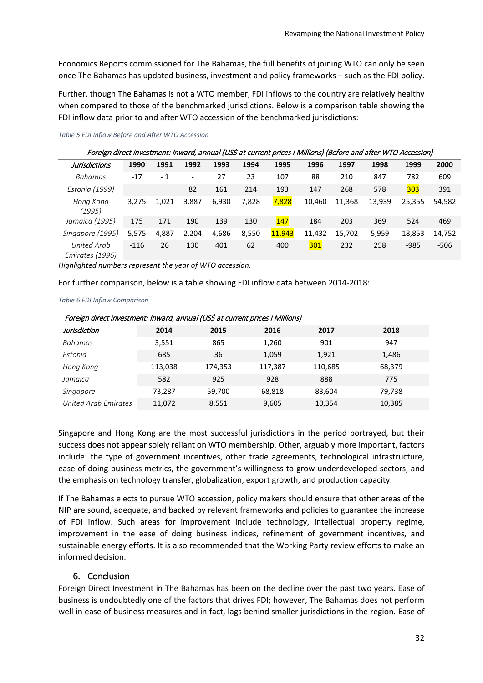Economics Reports commissioned for The Bahamas, the full benefits of joining WTO can only be seen once The Bahamas has updated business, investment and policy frameworks – such as the FDI policy.

Further, though The Bahamas is not a WTO member, FDI inflows to the country are relatively healthy when compared to those of the benchmarked jurisdictions. Below is a comparison table showing the FDI inflow data prior to and after WTO accession of the benchmarked jurisdictions:

| Foreign direct investment: Inward, annual (US\$ at current prices I Millions) (Before and after WTO Accession) |        |       |                          |       |       |        |        |        |        |        |        |
|----------------------------------------------------------------------------------------------------------------|--------|-------|--------------------------|-------|-------|--------|--------|--------|--------|--------|--------|
| <b>Jurisdictions</b>                                                                                           | 1990   | 1991  | 1992                     | 1993  | 1994  | 1995   | 1996   | 1997   | 1998   | 1999   | 2000   |
| Bahamas                                                                                                        | $-17$  | - 1   | $\overline{\phantom{a}}$ | 27    | 23    | 107    | 88     | 210    | 847    | 782    | 609    |
| Estonia (1999)                                                                                                 |        |       | 82                       | 161   | 214   | 193    | 147    | 268    | 578    | 303    | 391    |
| Hong Kong<br>(1995)                                                                                            | 3,275  | 1.021 | 3,887                    | 6,930 | 7,828 | 7,828  | 10,460 | 11,368 | 13,939 | 25,355 | 54,582 |
| Jamaica (1995)                                                                                                 | 175    | 171   | 190                      | 139   | 130   | 147    | 184    | 203    | 369    | 524    | 469    |
| Singapore (1995)                                                                                               | 5,575  | 4,887 | 2,204                    | 4,686 | 8,550 | 11,943 | 11,432 | 15,702 | 5,959  | 18,853 | 14,752 |
| United Arab<br>Emirates (1996)                                                                                 | $-116$ | 26    | 130                      | 401   | 62    | 400    | 301    | 232    | 258    | $-985$ | $-506$ |

*Table 5 FDI Inflow Before and After WTO Accession*

*Highlighted numbers represent the year of WTO accession.*

For further comparison, below is a table showing FDI inflow data between 2014-2018:

#### *Table 6 FDI Inflow Comparison*

| Jurisdiction         | 2014    | 2015    | 2016    | 2017    | 2018   |  |
|----------------------|---------|---------|---------|---------|--------|--|
| Bahamas              | 3,551   | 865     | 1,260   | 901     | 947    |  |
| Estonia              | 685     | 36      | 1,059   | 1,921   | 1,486  |  |
| Hong Kong            | 113,038 | 174,353 | 117,387 | 110,685 | 68,379 |  |
| Jamaica              | 582     | 925     | 928     | 888     | 775    |  |
| Singapore            | 73.287  | 59,700  | 68,818  | 83,604  | 79,738 |  |
| United Arab Emirates | 11,072  | 8,551   | 9,605   | 10,354  | 10,385 |  |

Foreign direct investment: Inward, annual (US\$ at current prices I Millions)

Singapore and Hong Kong are the most successful jurisdictions in the period portrayed, but their success does not appear solely reliant on WTO membership. Other, arguably more important, factors include: the type of government incentives, other trade agreements, technological infrastructure, ease of doing business metrics, the government's willingness to grow underdeveloped sectors, and the emphasis on technology transfer, globalization, export growth, and production capacity.

If The Bahamas elects to pursue WTO accession, policy makers should ensure that other areas of the NIP are sound, adequate, and backed by relevant frameworks and policies to guarantee the increase of FDI inflow. Such areas for improvement include technology, intellectual property regime, improvement in the ease of doing business indices, refinement of government incentives, and sustainable energy efforts. It is also recommended that the Working Party review efforts to make an informed decision.

## 6. Conclusion

<span id="page-31-0"></span>Foreign Direct Investment in The Bahamas has been on the decline over the past two years. Ease of business is undoubtedly one of the factors that drives FDI; however, The Bahamas does not perform well in ease of business measures and in fact, lags behind smaller jurisdictions in the region. Ease of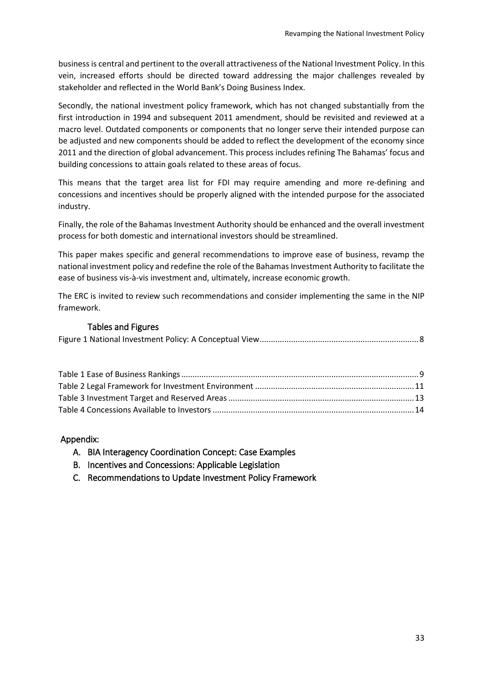business is central and pertinent to the overall attractiveness of the National Investment Policy. In this vein, increased efforts should be directed toward addressing the major challenges revealed by stakeholder and reflected in the World Bank's Doing Business Index.

Secondly, the national investment policy framework, which has not changed substantially from the first introduction in 1994 and subsequent 2011 amendment, should be revisited and reviewed at a macro level. Outdated components or components that no longer serve their intended purpose can be adjusted and new components should be added to reflect the development of the economy since 2011 and the direction of global advancement. This process includes refining The Bahamas' focus and building concessions to attain goals related to these areas of focus.

This means that the target area list for FDI may require amending and more re-defining and concessions and incentives should be properly aligned with the intended purpose for the associated industry.

Finally, the role of the Bahamas Investment Authority should be enhanced and the overall investment process for both domestic and international investors should be streamlined.

This paper makes specific and general recommendations to improve ease of business, revamp the national investment policy and redefine the role of the Bahamas Investment Authority to facilitate the ease of business vis-à-vis investment and, ultimately, increase economic growth.

The ERC is invited to review such recommendations and consider implementing the same in the NIP framework.

## Tables and Figures

<span id="page-32-0"></span>

|--|--|

## <span id="page-32-2"></span><span id="page-32-1"></span>Appendix:

- A. BIA Interagency Coordination Concept: Case Examples
- <span id="page-32-3"></span>B. Incentives and Concessions: Applicable Legislation
- <span id="page-32-4"></span>C. Recommendations to Update Investment Policy Framework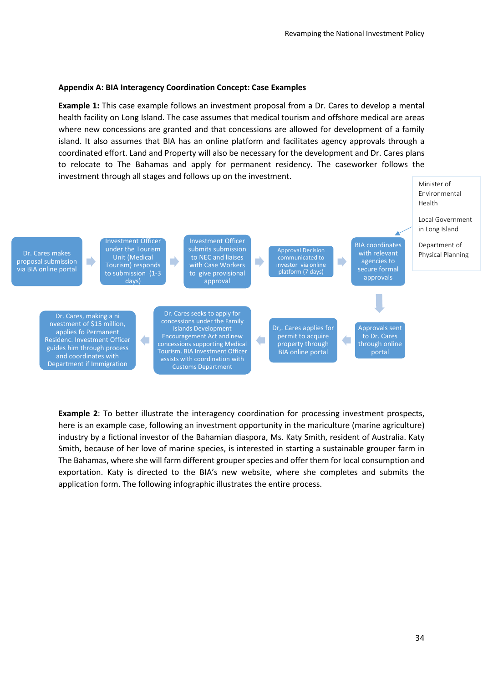#### **Appendix A: BIA Interagency Coordination Concept: Case Examples**

**Example 1:** This case example follows an investment proposal from a Dr. Cares to develop a mental health facility on Long Island. The case assumes that medical tourism and offshore medical are areas where new concessions are granted and that concessions are allowed for development of a family island. It also assumes that BIA has an online platform and facilitates agency approvals through a coordinated effort. Land and Property will also be necessary for the development and Dr. Cares plans to relocate to The Bahamas and apply for permanent residency. The caseworker follows the investment through all stages and follows up on the investment.



**Example 2**: To better illustrate the interagency coordination for processing investment prospects, here is an example case, following an investment opportunity in the mariculture (marine agriculture) industry by a fictional investor of the Bahamian diaspora, Ms. Katy Smith, resident of Australia. Katy Smith, because of her love of marine species, is interested in starting a sustainable grouper farm in The Bahamas, where she will farm different grouper species and offer them for local consumption and exportation. Katy is directed to the BIA's new website, where she completes and submits the application form. The following infographic illustrates the entire process.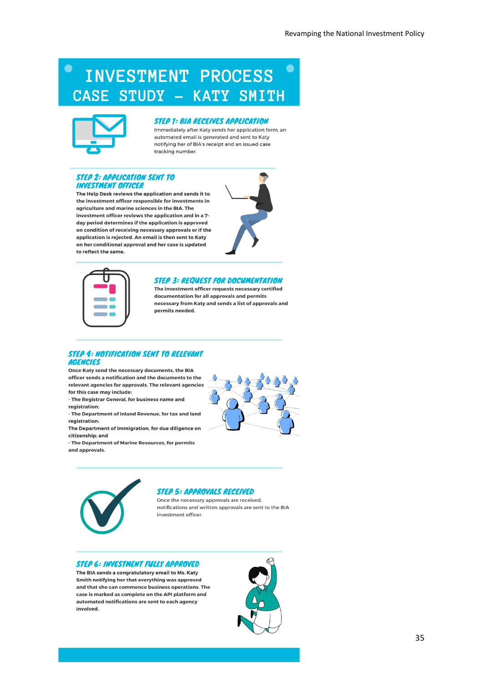## $\bullet$ **INVESTMENT PROCESS** CASE STUDY - KATY SMITH



#### **STEP 1: BIA RECEIVES APPLICATION**

Immediately after Katy sends her application form, an automated email is generated and sent to Katy notifying her of BIA's receipt and an issued case tracking number.

#### **STEP 2: APPLICATION SENT TO INVESTMENT OFFICER**

The Help Desk reviews the application and sends it to the investment officer responsible for investments in agriculture and marine sciences in the BIA. The investment officer reviews the application and in a 7day period determines if the application is approved on condition of receiving necessary approvals or if the application is rejected. An email is then sent to Katy on her conditional approval and her case is updated to reflect the same.





#### **STEP 3: REQUEST FOR DOCUMENTATION**

The investment officer requests necessary certified documentation for all approvals and permits necessary from Katy and sends a list of approvals and permits needed.

#### **STEP 4: NOTIFICATION SENT TO RELEVANT AGENCIES**

Once Katy send the necessary documents, the BIA officer sends a notification and the documents to the relevant agencies for approvals. The relevant agencies for this case may include:

- The Registrar General, for business name and registration:
- The Department of Inland Revenue, for tax and land registration;
- The Department of Immigration, for due diligence on citizenship: and
- The Department of Marine Resources, for permits and approvals.





#### **STEP 5: APPROVALS RECEIVED**

Once the necessary approvals are received, notifications and written approvals are sent to the BIA investment officer.

#### **STEP 6: INVESTMENT FULLY APPROVED**

The BIA sends a congratulatory email to Ms. Katy Smith notifying her that everything was approved and that she can commence business operations. The case is marked as complete on the API platform and automated notifications are sent to each agency involved.



35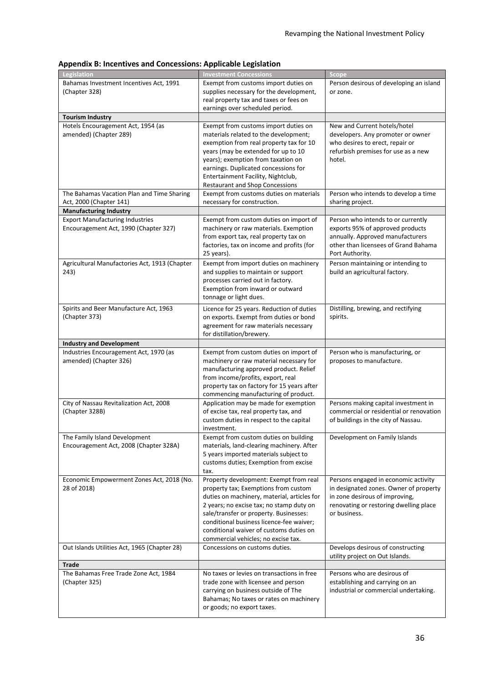| Legislation                                   | <b>Investment Concessions</b>                                         | Scope                                   |
|-----------------------------------------------|-----------------------------------------------------------------------|-----------------------------------------|
| Bahamas Investment Incentives Act, 1991       | Exempt from customs import duties on                                  | Person desirous of developing an island |
| (Chapter 328)                                 | supplies necessary for the development,                               | or zone.                                |
|                                               | real property tax and taxes or fees on                                |                                         |
|                                               | earnings over scheduled period.                                       |                                         |
| <b>Tourism Industry</b>                       |                                                                       |                                         |
| Hotels Encouragement Act, 1954 (as            |                                                                       | New and Current hotels/hotel            |
|                                               | Exempt from customs import duties on                                  |                                         |
| amended) (Chapter 289)                        | materials related to the development;                                 | developers. Any promoter or owner       |
|                                               | exemption from real property tax for 10                               | who desires to erect, repair or         |
|                                               | years (may be extended for up to 10                                   | refurbish premises for use as a new     |
|                                               | years); exemption from taxation on                                    | hotel.                                  |
|                                               | earnings. Duplicated concessions for                                  |                                         |
|                                               | Entertainment Facility, Nightclub,                                    |                                         |
|                                               | <b>Restaurant and Shop Concessions</b>                                |                                         |
| The Bahamas Vacation Plan and Time Sharing    | Exempt from customs duties on materials                               | Person who intends to develop a time    |
| Act, 2000 (Chapter 141)                       | necessary for construction.                                           | sharing project.                        |
| <b>Manufacturing Industry</b>                 |                                                                       |                                         |
| <b>Export Manufacturing Industries</b>        | Exempt from custom duties on import of                                | Person who intends to or currently      |
|                                               |                                                                       |                                         |
| Encouragement Act, 1990 (Chapter 327)         | machinery or raw materials. Exemption                                 | exports 95% of approved products        |
|                                               | from export tax, real property tax on                                 | annually. Approved manufacturers        |
|                                               | factories, tax on income and profits (for                             | other than licensees of Grand Bahama    |
|                                               | 25 years).                                                            | Port Authority.                         |
| Agricultural Manufactories Act, 1913 (Chapter | Exempt from import duties on machinery                                | Person maintaining or intending to      |
| 243)                                          | and supplies to maintain or support                                   | build an agricultural factory.          |
|                                               | processes carried out in factory.                                     |                                         |
|                                               | Exemption from inward or outward                                      |                                         |
|                                               | tonnage or light dues.                                                |                                         |
|                                               |                                                                       |                                         |
| Spirits and Beer Manufacture Act, 1963        | Licence for 25 years. Reduction of duties                             | Distilling, brewing, and rectifying     |
| (Chapter 373)                                 | on exports. Exempt from duties or bond                                | spirits.                                |
|                                               | agreement for raw materials necessary                                 |                                         |
|                                               | for distillation/brewery.                                             |                                         |
| <b>Industry and Development</b>               |                                                                       |                                         |
| Industries Encouragement Act, 1970 (as        | Exempt from custom duties on import of                                | Person who is manufacturing, or         |
| amended) (Chapter 326)                        | machinery or raw material necessary for                               | proposes to manufacture.                |
|                                               |                                                                       |                                         |
|                                               | manufacturing approved product. Relief                                |                                         |
|                                               | from income/profits, export, real                                     |                                         |
|                                               | property tax on factory for 15 years after                            |                                         |
|                                               | commencing manufacturing of product.                                  |                                         |
|                                               |                                                                       |                                         |
| City of Nassau Revitalization Act, 2008       | Application may be made for exemption                                 | Persons making capital investment in    |
| (Chapter 328B)                                | of excise tax, real property tax, and                                 | commercial or residential or renovation |
|                                               | custom duties in respect to the capital                               | of buildings in the city of Nassau.     |
|                                               | investment.                                                           |                                         |
|                                               |                                                                       |                                         |
| The Family Island Development                 | Exempt from custom duties on building                                 | Development on Family Islands           |
| Encouragement Act, 2008 (Chapter 328A)        | materials, land-clearing machinery. After                             |                                         |
|                                               | 5 years imported materials subject to                                 |                                         |
|                                               | customs duties; Exemption from excise                                 |                                         |
|                                               | tax.                                                                  |                                         |
| Economic Empowerment Zones Act, 2018 (No.     | Property development: Exempt from real                                | Persons engaged in economic activity    |
| 28 of 2018)                                   | property tax; Exemptions from custom                                  | in designated zones. Owner of property  |
|                                               | duties on machinery, material, articles for                           | in zone desirous of improving,          |
|                                               | 2 years; no excise tax; no stamp duty on                              | renovating or restoring dwelling place  |
|                                               | sale/transfer or property. Businesses:                                | or business.                            |
|                                               | conditional business licence-fee waiver;                              |                                         |
|                                               | conditional waiver of customs duties on                               |                                         |
|                                               |                                                                       |                                         |
|                                               | commercial vehicles; no excise tax.                                   |                                         |
| Out Islands Utilities Act, 1965 (Chapter 28)  | Concessions on customs duties.                                        | Develops desirous of constructing       |
|                                               |                                                                       | utility project on Out Islands.         |
| Trade                                         |                                                                       |                                         |
| The Bahamas Free Trade Zone Act, 1984         | No taxes or levies on transactions in free                            | Persons who are desirous of             |
| (Chapter 325)                                 | trade zone with licensee and person                                   | establishing and carrying on an         |
|                                               | carrying on business outside of The                                   | industrial or commercial undertaking.   |
|                                               | Bahamas; No taxes or rates on machinery<br>or goods; no export taxes. |                                         |

## **Appendix B: Incentives and Concessions: Applicable Legislation**